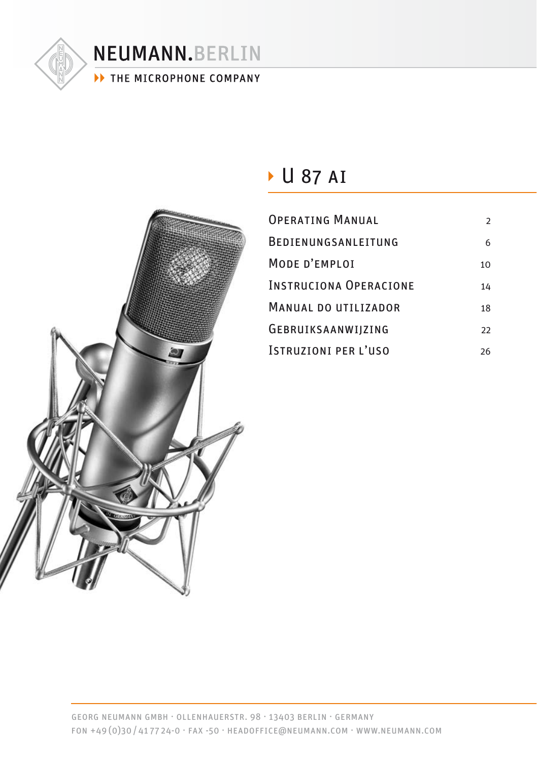

# IF THE MICROPHONE COMPANY



# **↓ U 87 AI**

| <b>OPERATING MANUAL</b>       | $\mathcal{P}$   |
|-------------------------------|-----------------|
| BEDIENUNGSANLEITUNG           | 6               |
| MODE D'EMPLOI                 | 10 <sup>1</sup> |
| <b>INSTRUCIONA OPERACIONE</b> | 14              |
| MANUAL DO UTILIZADOR          | 18              |
| GEBRUIKSAANWIIZING            | 22              |
| <b>ISTRUZIONI PER L'USO</b>   | 26              |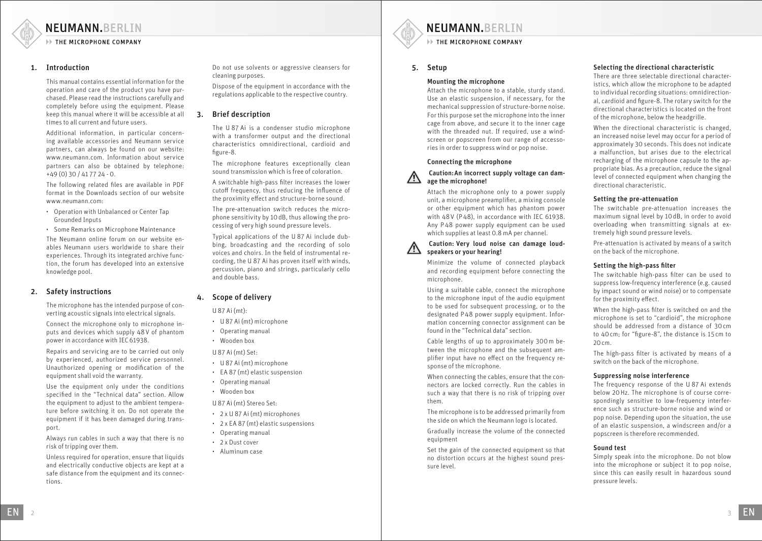<span id="page-1-0"></span>**EXAMPLE MICROPHONE COMPANY** 

# 1. Introduction

This manual contains essential information for the operation and care of the product you have purchased. Please read the instructions carefully and completely before using the equipment. Please keep this manual where it will be accessible at all times to all current and future users.

Additional information, in particular concerning available accessories and Neumann service partners, can always be found on our website: www.neumann.com. Information about service partners can also be obtained by telephone: +49 (0) 30 / 41 77 24 - 0.

The following related files are available in PDF format in the Downloads section of our website www.neumann.com:

- Operation with Unbalanced or Center Tap Grounded Inputs
- Some Remarks on Microphone Maintenance

The Neumann online forum on our website enables Neumann users worldwide to share their experiences. Through its integrated archive function, the forum has developed into an extensive knowledge pool.

# 2. Safety instructions

The microphone has the intended purpose of converting acoustic signals into electrical signals.

Connect the microphone only to microphone inputs and devices which supply 48V of phantom power in accordance with IEC61938.

Repairs and servicing are to be carried out only by experienced, authorized service personnel. Unauthorized opening or modification of the equipment shall void the warranty.

Use the equipment only under the conditions specified in the "Technical data" section. Allow the equipment to adjust to the ambient temperature before switching it on. Do not operate the equipment if it has been damaged during transport.

Always run cables in such a way that there is no risk of tripping over them.

Unless required for operation, ensure that liquids and electrically conductive objects are kept at a safe distance from the equipment and its connections.

Do not use solvents or aggressive cleansers for cleaning purposes.

Dispose of the equipment in accordance with the regulations applicable to the respective country.

# 3. Brief description

The U 87 Ai is a condenser studio microphone with a transformer output and the directional characteristics omnidirectional, cardioid and figure-8.

The microphone features exceptionally clean sound transmission which is free of coloration.

A switchable high-pass filter increases the lower cutoff frequency, thus reducing the influence of the proximity effect and structure-borne sound.

The pre-attenuation switch reduces the microphone sensitivity by 10dB, thus allowing the processing of very high sound pressure levels.

Typical applications of the U 87 Ai include dubbing, broadcasting and the recording of solo voices and choirs. In the field of instrumental recording, the U 87 Ai has proven itself with winds, percussion, piano and strings, particularly cello and double bass.

# 4. Scope of delivery

U 87 Ai (mt):

- U 87 Ai (mt) microphone •
- Operating manual
- Wooden box •

U 87 Ai (mt) Set:

- U 87 Ai (mt) microphone •
- EA 87 (mt) elastic suspension •
- Operating manual
- Wooden box •

#### U 87 Ai (mt) Stereo Set:

- 2 x U 87 Ai (mt) microphones •
- 2 x EA 87 (mt) elastic suspensions
- Operating manual
- 2 x Dust cover
- Aluminum case •

# NEUMANN, BERLIN

**EXAMPLE MICROPHONE COMPANY** 

# 5. Setup

# Mounting the microphone

Attach the microphone to a stable, sturdy stand. Use an elastic suspension, if necessary, for the mechanical suppression of structure-borne noise. For this purpose set the microphone into the inner cage from above, and secure it to the inner cage with the threaded nut. If required, use a windscreen or popscreen from our range of accessories in order to suppress wind or pop noise.

# Connecting the microphone



# Caution:An incorrect supply voltage can damage the microphone!

Attach the microphone only to a power supply unit, a microphone preamplifier, a mixing console or other equipment which has phantom power with 48V (P48), in accordance with IEC 61938. Any P48 power supply equipment can be used which supplies at least 0.8 mA per channel.

# Caution: Very loud noise can damage loudspeakers or your hearing!

Minimize the volume of connected playback and recording equipment before connecting the microphone.

Using a suitable cable, connect the microphone to the microphone input of the audio equipment to be used for subsequent processing, or to the designated P48 power supply equipment. Information concerning connector assignment can be found in the "Technical data" section.

Cable lengths of up to approximately 300m between the microphone and the subsequent amplifier input have no effect on the frequency response of the microphone.

When connecting the cables, ensure that the connectors are locked correctly. Run the cables in such a way that there is no risk of tripping over them.

The microphone is to be addressed primarily from the side on which the Neumann logo is located.

Gradually increase the volume of the connected equipment

Set the gain of the connected equipment so that no distortion occurs at the highest sound pressure level.

# Selecting the directional characteristic

There are three selectable directional characteristics, which allow the microphone to be adapted to individual recording situations: omnidirectional, cardioid and figure-8. The rotary switch for the directional characteristics is located on the front of the microphone, below the headgrille.

When the directional characteristic is changed an increased noise level may occur for a period of approximately 30 seconds. This does not indicate a malfunction, but arises due to the electrical recharging of the microphone capsule to the appropriate bias. As a precaution, reduce the signal level of connected equipment when changing the directional characteristic.

# Setting the pre-attenuation

The switchable pre-attenuation increases the maximum signal level by 10dB, in order to avoid overloading when transmitting signals at extremely high sound pressure levels.

Pre-attenuation is activated by means of a switch on the back of the microphone.

# Setting the high-pass filter

The switchable high-pass filter can be used to suppress low-frequency interference (e.g. caused by impact sound or wind noise) or to compensate for the proximity effect.

When the high-pass filter is switched on and the microphone is set to "cardioid", the microphone should be addressed from a distance of 30cm to 40cm; for "figure-8", the distance is 15 cm to 20cm.

The high-pass filter is activated by means of a switch on the back of the microphone.

# Suppressing noise interference

The frequency response of the U 87 Ai extends below 20Hz. The microphone is of course correspondingly sensitive to low-frequency interference such as structure-borne noise and wind or pop noise. Depending upon the situation, the use of an elastic suspension, a windscreen and/or a popscreen is therefore recommended.

# Sound test

Simply speak into the microphone. Do not blow into the microphone or subject it to pop noise, since this can easily result in hazardous sound pressure levels.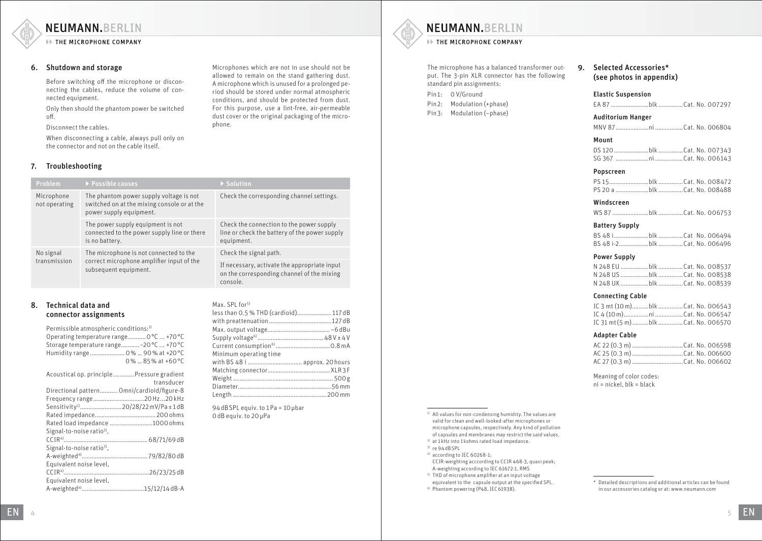**EXECUTE MICROPHONE COMPANY** 

# 6. Shutdown and storage

Before switching off the microphone or disconnecting the cables, reduce the volume of connected equipment.

Only then should the phantom power be switched off.

Disconnect the cables.

Signal-to-noise ratio<sup>3)</sup>,

Equivalent noise level,

Equivalent noise level,

A-weighted4)........................................ 79/82/80dB

CCIR4)....................................................26/23/25dB

A-weighted4)......................................15/12/14dB-A

When disconnecting a cable, always pull only on the connector and not on the cable itself.

# 7. Troubleshooting

Microphones which are not in use should not be allowed to remain on the stand gathering dust. A microphone which is unused for a prolonged period should be stored under normal atmospheric conditions, and should be protected from dust. For this purpose, use a lint-free, air-permeable dust cover or the original packaging of the microphone.

| Problem                                                                                                                                                                                                                                                                                                                                                                                                                                                     | ▶ Possible causes                                                                                                 | ▶ Solution                                                                                                                                                 |
|-------------------------------------------------------------------------------------------------------------------------------------------------------------------------------------------------------------------------------------------------------------------------------------------------------------------------------------------------------------------------------------------------------------------------------------------------------------|-------------------------------------------------------------------------------------------------------------------|------------------------------------------------------------------------------------------------------------------------------------------------------------|
| Microphone<br>not operating                                                                                                                                                                                                                                                                                                                                                                                                                                 | The phantom power supply voltage is not<br>switched on at the mixing console or at the<br>power supply equipment. | Check the corresponding channel settings.                                                                                                                  |
|                                                                                                                                                                                                                                                                                                                                                                                                                                                             | The power supply equipment is not<br>connected to the power supply line or there<br>is no battery.                | Check the connection to the power supply<br>line or check the battery of the power supply<br>equipment.                                                    |
| No signal                                                                                                                                                                                                                                                                                                                                                                                                                                                   | The microphone is not connected to the                                                                            | Check the signal path.                                                                                                                                     |
| transmission                                                                                                                                                                                                                                                                                                                                                                                                                                                | correct microphone amplifier input of the<br>subsequent equipment.                                                | If necessary, activate the appropriate input<br>on the corresponding channel of the mixing<br>console.                                                     |
| 8.<br><b>Technical data and</b><br>connector assignments<br>Permissible atmospheric conditions: <sup>1)</sup><br>Operating temperature range 0°C  +70°C<br>Storage temperature range - 20 °C  +70 °C<br>Humidity range 0%  90% at +20 °C<br>$0\%$ 85% at +60 °C.<br>Acoustical op. principle Pressure gradient<br>transducer<br>Directional pattern Omni/cardioid/figure-8<br>Frequency range20 Hz20 kHz<br>Sensitivity <sup>2)</sup> 20/28/22 mV/Pa ± 1 dB |                                                                                                                   | Max. SPL for <sup>5)</sup><br>less than 0.5 % THD (cardioid) 117 dB<br>Minimum operating time<br>94 dB SPL equiv. to 1Pa = 10 ubar<br>OdB equiv. to 20 µPa |
| Signal-to-noise ratio <sup>3)</sup> ,                                                                                                                                                                                                                                                                                                                                                                                                                       | Rated load impedance 1000 ohms                                                                                    |                                                                                                                                                            |

# NEUMANN, BERLIN

**EXAMPLE MICROPHONE COMPANY** 

The microphone has a balanced transformer output. The 3-pin XLR connector has the following standard pin assignments:

Pin1: 0 V/Ground Pin 2: Modulation (+phase) Pin 3: Modulation (–phase)

# 9. Selected Accessories\* (see photos in appendix)

#### Elastic Suspension

EA 87 .......................blk ...............Cat. No. 007297

#### Auditorium Hanger

MNV 87....................ni .................Cat. No. 006804

#### Mount

#### Popscreen

# Windscreen

WS 87 ......................blk ...............Cat. No. 006753

#### Battery Supply

BS 48 i.....................blk ...............Cat No. 006494 BS 48 i-2..................blk ...............Cat. No. 006496

### Power Supply

# Connecting Cable

IC 3 mt (10m)..........blk ...............Cat. No. 006543 IC 4 (10m)...............ni .................Cat. No. 006547 IC 31 mt(5 m)..........blk ...............Cat. No. 006570

### Adapter Cable

Meaning of color codes:  $ni = nickel, blk = black$ 

- 1) All values for non-condensing humidity. The values are valid for clean and well-looked-after microphones or microphone capsules, respectively. Any kind of pollution of capsules and membranes may restrict the said values.
- 2) at 1 kHz into 1 kohms rated load impedance.
- 3) re 94dBSPL
- 4) according to IEC 60268-1;
- CCIR-weighting acccording to CCIR 468-3, quasi peak; A-weighting according to IEC 61672-1, RMS
- 5) THD of microphone amplifier at an input voltage equivalent to the capsule output at the specified SPL. 6) Phantom powering (P48, IEC 61938).
- 

\* Detailed descriptions and additional articles can be found in our accessories catalog or at: www.neumann.com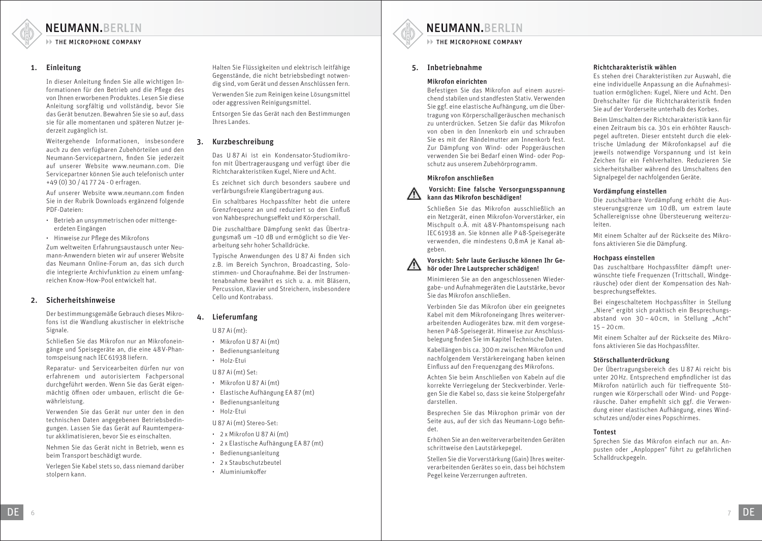# <span id="page-3-0"></span>**EXAMPLE MICROPHONE COMPANY**

# 1. Einleitung

In dieser Anleitung finden Sie alle wichtigen Informationen für den Betrieb und die Pflege des von Ihnen erworbenen Produktes. Lesen Sie diese Anleitung sorgfältig und vollständig, bevor Sie das Gerät benutzen. Bewahren Sie sie so auf, dass sie für alle momentanen und späteren Nutzer jederzeit zugänglich ist.

Weitergehende Informationen, insbesondere auch zu den verfügbaren Zubehörteilen und den Neumann-Servicepartnern, finden Sie jederzeit auf unserer Website www.neumann.com. Die Servicepartner können Sie auch telefonisch unter +49 (0) 30 / 41 77 24 - 0 erfragen.

Auf unserer Website www.neumann.com finden Sie in der Rubrik Downloads ergänzend folgende PDF-Dateien:

- Betrieb an unsymmetrischen oder mittenge-• erdeten Eingängen
- Hinweise zur Pflege des Mikrofons

Zum weltweiten Erfahrungsaustausch unter Neumann-Anwendern bieten wir auf unserer Website das Neumann Online-Forum an, das sich durch die integrierte Archivfunktion zu einem umfangreichen Know-How-Pool entwickelt hat.

# 2. Sicherheitshinweise

Der bestimmungsgemäße Gebrauch dieses Mikrofons ist die Wandlung akustischer in elektrische Signale.

Schließen Sie das Mikrofon nur an Mikrofoneingänge und Speisegeräte an, die eine 48V-Phantomspeisung nach IEC61938 liefern.

Reparatur- und Servicearbeiten dürfen nur von erfahrenem und autorisiertem Fachpersonal durchgeführt werden. Wenn Sie das Gerät eigenmächtig öffnen oder umbauen, erlischt die Gewährleistung.

Verwenden Sie das Gerät nur unter den in den technischen Daten angegebenen Betriebsbedingungen. Lassen Sie das Gerät auf Raumtemperatur akklimatisieren, bevor Sie es einschalten.

Nehmen Sie das Gerät nicht in Betrieb, wenn es beim Transport beschädigt wurde.

Verlegen Sie Kabel stets so, dass niemand darüber stolpern kann.

Halten Sie Flüssigkeiten und elektrisch leitfähige Gegenstände, die nicht betriebsbedingt notwendig sind, vom Gerät und dessen Anschlüssen fern.

Verwenden Sie zum Reinigen keine Lösungsmittel oder aggressiven Reinigungsmittel.

Entsorgen Sie das Gerät nach den Bestimmungen Ihres Landes.

# 3. Kurzbeschreibung

Das U 87 Ai ist ein Kondensator-Studiomikrofon mit Übertragerausgang und verfügt über die Richtcharakteristiken Kugel, Niere und Acht.

Es zeichnet sich durch besonders saubere und verfärbungsfreie Klangübertragung aus.

Ein schaltbares Hochpassfilter hebt die untere Grenzfrequenz an und reduziert so den Einfluß von Nahbesprechungseffekt und Körperschall.

Die zuschaltbare Dämpfung senkt das Übertragungsmaß um –10 dB und ermöglicht so die Verarbeitung sehr hoher Schalldrücke.

Typische Anwendungen des U 87 Ai finden sich z.B. im Bereich Synchron, Broadcasting, Solostimmen- und Choraufnahme. Bei der Instrumentenabnahme bewährt es sich u. a. mit Bläsern, Percussion, Klavier und Streichern, insbesondere Cello und Kontrabass.

# 4. Lieferumfang

U 87 Ai (mt):

- Mikrofon U 87 Ai (mt) •
- Bedienungsanleitung
- Holz-Etui •

U 87 Ai (mt) Set:

- Mikrofon U 87 Ai (mt) •
- Elastische Aufhängung EA 87 (mt) •
- Bedienungsanleitung
- Holz-Etui •

U 87 Ai (mt) Stereo-Set:

- 2 x Mikrofon U 87 Ai (mt) •
- 2 x Elastische Aufhängung EA 87 (mt) •
- Bedienungsanleitung
- 2 x Staubschutzbeutel •
- Aluminiumkoffer •

# NEUMANN, BERLIN

**EXAMPLE MICROPHONE COMPANY** 

# 5. Inbetriebnahme

#### Mikrofon einrichten

Befestigen Sie das Mikrofon auf einem ausreichend stabilen und standfesten Stativ. Verwenden Sie ggf. eine elastische Aufhängung, um die Übertragung von Körperschallgeräuschen mechanisch zu unterdrücken. Setzen Sie dafür das Mikrofon von oben in den Innenkorb ein und schrauben Sie es mit der Rändelmutter am Innenkorb fest. Zur Dämpfung von Wind- oder Popgeräuschen verwenden Sie bei Bedarf einen Wind- oder Popschutz aus unserem Zubehörprogramm.

#### Mikrofon anschließen

#### Vorsicht: Eine falsche Versorgungsspannung kann das Mikrofon beschädigen!

Schließen Sie das Mikrofon ausschließlich an ein Netzgerät, einen Mikrofon-Vorverstärker, ein Mischpult o.Ä. mit 48V-Phantomspeisung nach IEC61938 an. Sie können alle P48-Speisegeräte verwenden, die mindestens 0,8mA je Kanal abgeben.

# Vorsicht: Sehr laute Geräusche können Ihr Gehör oder Ihre Lautsprecher schädigen!

Minimieren Sie an den angeschlossenen Wiedergabe- und Aufnahmegeräten die Lautstärke, bevor Sie das Mikrofon anschließen.

Verbinden Sie das Mikrofon über ein geeignetes Kabel mit dem Mikrofoneingang Ihres weiterverarbeitenden Audiogerätes bzw. mit dem vorgesehenen P48-Speisegerät. Hinweise zur Anschlussbelegung finden Sie im Kapitel Technische Daten.

Kabellängen bis ca. 300m zwischen Mikrofon und nachfolgendem Verstärkereingang haben keinen Einfluss auf den Frequenzgang des Mikrofons.

Achten Sie beim Anschließen von Kabeln auf die korrekte Verriegelung der Steckverbinder. Verlegen Sie die Kabel so, dass sie keine Stolpergefahr darstellen.

Besprechen Sie das Mikrophon primär von der Seite aus, auf der sich das Neumann-Logo befindet.

Erhöhen Sie an den weiterverarbeitenden Geräten schrittweise den Lautstärkepegel.

Stellen Sie die Vorverstärkung (Gain) Ihres weiterverarbeitenden Gerätes so ein, dass bei höchstem Pegel keine Verzerrungen auftreten.

#### Richtcharakteristik wählen

Es stehen drei Charakteristiken zur Auswahl, die eine individuelle Anpassung an die Aufnahmesituation ermöglichen: Kugel, Niere und Acht. Den Drehschalter für die Richtcharakteristik finden Sie auf der Vorderseite unterhalb des Korbes.

Beim Umschalten der Richtcharakteristik kann für einen Zeitraum bis ca. 30s ein erhöhter Rauschpegel auftreten. Dieser entsteht durch die elektrische Umladung der Mikrofonkapsel auf die jeweils notwendige Vorspannung und ist kein Zeichen für ein Fehlverhalten. Reduzieren Sie sicherheitshalber während des Umschaltens den Signalpegel der nachfolgenden Geräte.

#### Vordämpfung einstellen

Die zuschaltbare Vordämpfung erhöht die Aussteuerungsgrenze um 10dB, um extrem laute Schallereignisse ohne Übersteuerung weiterzuleiten.

Mit einem Schalter auf der Rückseite des Mikrofons aktivieren Sie die Dämpfung.

#### Hochpass einstellen

Das zuschaltbare Hochpassfilter dämpft unerwünschte tiefe Frequenzen (Trittschall, Windgeräusche) oder dient der Kompensation des Nahbesprechungseffektes.

Bei eingeschaltetem Hochpassfilter in Stellung "Niere" ergibt sich praktisch ein Besprechungsabstand von  $30 - 40$ cm, in Stellung "Acht"  $15 - 20$  cm.

Mit einem Schalter auf der Rückseite des Mikrofons aktivieren Sie das Hochpassfilter.

#### Störschallunterdrückung

Der Übertragungsbereich des U 87 Ai reicht bis unter 20Hz. Entsprechend empfindlicher ist das Mikrofon natürlich auch für tieffrequente Störungen wie Körperschall oder Wind- und Popgeräusche. Daher empfiehlt sich ggf. die Verwendung einer elastischen Aufhängung, eines Windschutzes und/oder eines Popschirmes.

#### Tontest

Sprechen Sie das Mikrofon einfach nur an. Anpusten oder "Anploppen" führt zu gefährlichen Schalldruckpegeln.

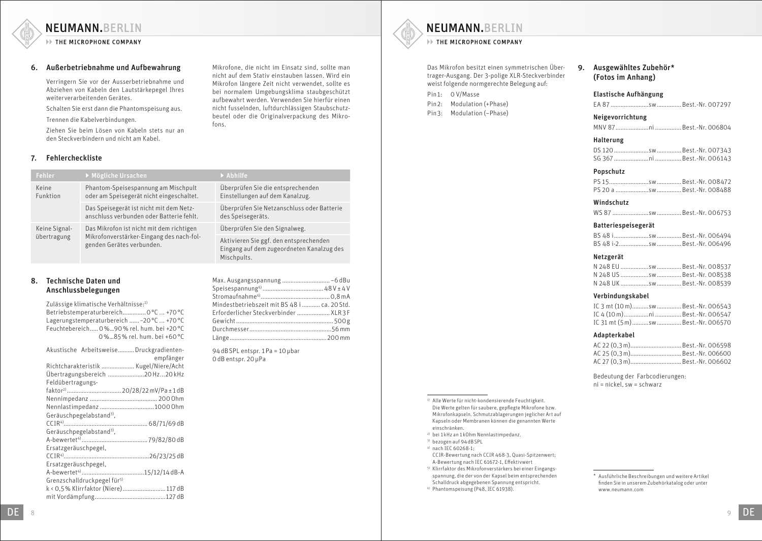**EXECUTE MICROPHONE COMPANY** 

# 6. Außerbetriebnahme und Aufbewahrung

Verringern Sie vor der Ausserbetriebnahme und Abziehen von Kabeln den Lautstärkepegel Ihres weiterverarbeitenden Gerätes.

Schalten Sie erst dann die Phantomspeisung aus. Trennen die Kabelverbindungen.

Ziehen Sie beim Lösen von Kabeln stets nur an den Steckverbindern und nicht am Kabel.

# 7. Fehlercheckliste

Mikrofone, die nicht im Einsatz sind, sollte man nicht auf dem Stativ einstauben lassen. Wird ein Mikrofon längere Zeit nicht verwendet, sollte es bei normalem Umgebungsklima staubgeschützt aufbewahrt werden. Verwenden Sie hierfür einen nicht fusselnden, luftdurchlässigen Staubschutzbeutel oder die Originalverpackung des Mikrofons.

| Fehler            | ▶ Mögliche Ursachen                                                                 | $\triangleright$ Abhilfe                                                                           |
|-------------------|-------------------------------------------------------------------------------------|----------------------------------------------------------------------------------------------------|
| Keine<br>Funktion | Phantom-Speisespannung am Mischpult<br>oder am Speisegerät nicht eingeschaltet.     | Überprüfen Sie die entsprechenden<br>Einstellungen auf dem Kanalzug.                               |
|                   | Das Speisegerät ist nicht mit dem Netz-<br>anschluss verbunden oder Batterie fehlt. | Überprüfen Sie Netzanschluss oder Batterie<br>des Speisegeräts.                                    |
| Keine Signal-     | Das Mikrofon ist nicht mit dem richtigen                                            | Überprüfen Sie den Signalweg.                                                                      |
| übertragung       | Mikrofonverstärker-Eingang des nach-fol-<br>genden Gerätes verbunden.               | Aktivieren Sie ggf. den entsprechenden<br>Eingang auf dem zugeordneten Kanalzug des<br>Mischpults. |
|                   |                                                                                     |                                                                                                    |

# 8. Technische Daten und Anschlussbelegungen

Zulässige klimatische Verhältnisse:<sup>1)</sup> Betriebstemperaturbereich..............0°C ... +70°C Lagerungstemperaturbereich ......−20°C ... +70°C Feuchtebereich.....0%…90% rel. hum. bei +20°C 0%…85% rel. hum. bei +60°C

|                      |                                         | Akustische ArbeitsweiseDruckgradienten- |
|----------------------|-----------------------------------------|-----------------------------------------|
|                      |                                         | empfänger                               |
|                      |                                         | Richtcharakteristik  Kugel/Niere/Acht   |
|                      |                                         | Ubertragungsbereich 20 Hz20 kHz         |
| Feldübertragungs-    |                                         |                                         |
|                      |                                         |                                         |
|                      |                                         |                                         |
|                      |                                         |                                         |
|                      | Geräuschpegelabstand <sup>3)</sup> ,    |                                         |
|                      |                                         |                                         |
|                      | Geräuschpegelabstand <sup>3)</sup> ,    |                                         |
|                      |                                         |                                         |
| Ersatzgeräuschpegel, |                                         |                                         |
|                      |                                         |                                         |
| Ersatzgeräuschpegel, |                                         |                                         |
|                      |                                         |                                         |
|                      | Grenzschalldruckpegel für <sup>5)</sup> |                                         |
|                      |                                         | k < 0,5% Klirrfaktor (Niere)  117 dB    |
|                      |                                         |                                         |
|                      |                                         |                                         |

| Max. Ausgangsspannung  - 6 dBu               |  |
|----------------------------------------------|--|
|                                              |  |
|                                              |  |
| Mindestbetriebszeit mit BS 48 i  ca. 20 Std. |  |
| Erforderlicher Steckverbinder  XLR3F         |  |
|                                              |  |
|                                              |  |
|                                              |  |

94dBSPL entspr. 1Pa = 10µbar 0dB entspr. 20µPa

NEUMANN, BERLIN

**EXAMPLE MICROPHONE COMPANY** 

Das Mikrofon besitzt einen symmetrischen Übertrager-Ausgang. Der 3-polige XLR-Steckverbinder weist folgende normgerechte Belegung auf:

Pin1: 0 V/Masse Pin 2: Modulation (+Phase) Pin 3: Modulation (–Phase) 9. Ausgewähltes Zubehör\* (Fotos im Anhang)

#### Elastische Aufhängung

EA 87 .......................sw...............Best.-Nr. 007297

#### Neigevorrichtung

MNV 87....................ni ................Best.-Nr. 006804

#### Halterung

### Popschutz

### Windschutz

WS 87 ......................sw...............Best.-Nr. 006753

## Batteriespeisegerät

|  | BS 48 i-2swBest.-Nr. 006496 |
|--|-----------------------------|

### Netzgerät

|  | N 248 EU sw Best.-Nr. 008537  |
|--|-------------------------------|
|  | N 248 US sw  Best.-Nr. 008538 |
|  | N 248 UK sw  Best.-Nr. 008539 |

### Verbindungskabel

|  | IC 3 mt (10 m)sw Best.-Nr. 006543          |
|--|--------------------------------------------|
|  | IC 4 (10 m)niBest.-Nr. 006547              |
|  | IC 31 mt (5 m)     sw     Best.-Nr. 006570 |

### Adapterkabel

| AC 22 (0.3 m) Best.-Nr. 006598 |
|--------------------------------|
|                                |
| AC 27 (0,3 m) Best.-Nr. 006602 |

Bedeutung der Farbcodierungen:  $ni = nickel$ , sw = schwarz

- 1) Alle Werte für nicht-kondensierende Feuchtigkeit. Die Werte gelten für saubere, gepflegte Mikrofone bzw. Mikrofonkapseln. Schmutzablagerungen jeglicher Art auf Kapseln oder Membranen können die genannten Werte einschränken.
- 2) bei 1 kHz an 1 kOhm Nennlastimpedanz.
- 3) bezogen auf 94dBSPL
- 4) nach IEC 60268-1;
- CCIR-Bewertung nach CCIR 468-3, Quasi-Spitzenwert; A-Bewertung nach IEC 61672-1, Effektivwert
- 5) Klirrfaktor des Mikrofonverstärkers bei einer Eingangsspannung, die der von der Kapsel beim entsprechenden Schalldruck abgegebenen Spannung entspricht.
- 6) Phantomspeisung (P48, IEC 61938).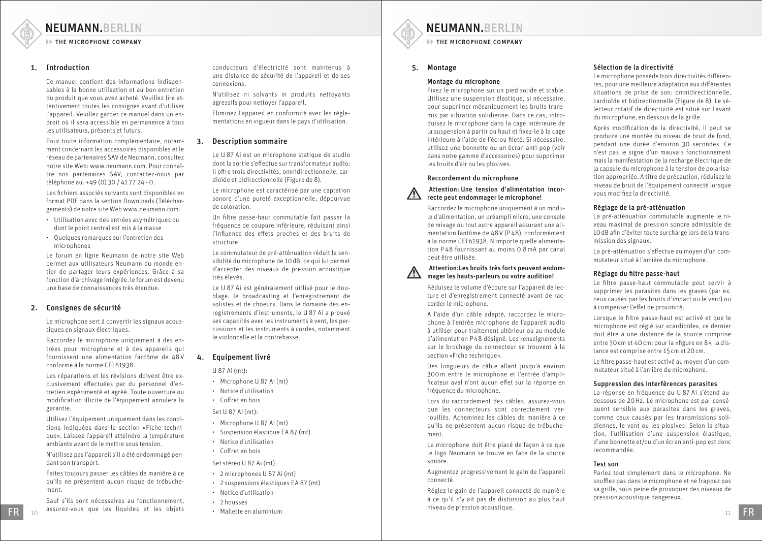# <span id="page-5-0"></span>1. Introduction

Ce manuel contient des informations indispensables à la bonne utilisation et au bon entretien du produit que vous avez acheté. Veuillez lire attentivement toutes les consignes avant d'utiliser l'appareil. Veuillez garder ce manuel dans un endroit où il sera accessible en permanence à tous les utilisateurs, présents et futurs.

Pour toute information complémentaire, notamment concernant les accessoires disponibles et le réseau de partenaires SAV de Neumann, consultez notre site Web: www.neumann.com. Pour connaître nos partenaires SAV, contactez-nous par téléphone au: +49 (0) 30 / 41 77 24 - 0.

Les fichiers associés suivants sont disponibles en format PDF dans la section Downloads (Téléchargements) de notre site Web www.neumann.com:

- Utilisation avec des entrées asymétriques ou dont le point central est mis à la masse
- Quelques remarques sur l'entretien des microphones

Le forum en ligne Neumann de notre site Web permet aux utilisateurs Neumann du monde entier de partager leurs expériences. Grâce à sa fonction d'archivage intégrée, le forum est devenu une base de connaissances très étendue.

# 2. Consignes de sécurité

Le microphone sert à convertir les signaux acoustiques en signaux électriques.

Raccordez le microphone uniquement à des entrées pour microphone et à des appareils qui fournissent une alimentation fantôme de 48V conforme à la norme CEI61938.

Les réparations et les révisions doivent être exclusivement effectuées par du personnel d'entretien expérimenté et agréé. Toute ouverture ou modification illicite de l'équipement annulera la garantie.

Utilisez l'équipement uniquement dans les conditions indiquées dans la section «Fiche technique». Laissez l'appareil atteindre la température ambiante avant de le mettre sous tension.

N'utilisez pas l'appareil s'il a été endommagé pendant son transport.

Faites toujours passer les câbles de manière à ce qu'ils ne présentent aucun risque de trébuchement.

Sauf s'ils sont nécessaires au fonctionnement, assurez-vous que les liquides et les objets FR 10 assurez-vous que les liquides et les objets . Mallette en aluminium and any modern de la construction de la construction de la construction de la construction de la construction de la construction de la construction

conducteurs d'électricité sont maintenus à une distance de sécurité de l'appareil et de ses connexions.

N'utilisez ni solvants ni produits nettoyants agressifs pour nettoyer l'appareil.

Eliminez l'appareil en conformité avec les réglementations en vigueur dans le pays d'utilisation.

# 3. Description sommaire

Le U 87 Ai est un microphone statique de studio dont la sortie s'effectue sur transformateur audio; il offre trois directivités, omnidirectionnelle, cardioïde et bidirectionnelle (Figure de 8).

Le microphone est caractérisé par une captation sonore d'une pureté exceptionnelle, dépourvue de coloration.

Un filtre passe-haut commutable fait passer la fréquence de coupure inférieure, réduisant ainsi l'influence des effets proches et des bruits de structure.

Le commutateur de pré-atténuation réduit la sensibilité du microphone de 10dB, ce qui lui permet d'accepter des niveaux de pression acoustique très élevés.

Le U 87 Ai est généralement utilisé pour le doublage, le broadcasting et l'enregistrement de solistes et de choeurs. Dans le domaine des enregistrements d'instruments, le U 87 Ai a prouvé ses capacités avec les instruments à vent, les percussions et les instruments à cordes, notamment le violoncelle et la contrebasse.

# 4. Equipement livré

U 87 Ai (mt):

- Microphone U 87 Ai (mt)
- Notice d'utilisation •
- Coffret en bois •

Set U 87 Ai (mt):

- Microphone U 87 Ai (mt)
- Suspension élastique EA 87 (mt)
- Notice d'utilisation •
- Coffret en bois •

Set stéréo U 87 Ai (mt):

- 2 microphones U 87 Ai (mt) •
- 2 suspensions élastiques EA 87 (mt) •
- Notice d'utilisation •
- 2 housses
- $10$  assumed votes of the intervals of the control of the Mallette en aluminium  $11$ Mallette en aluminium •

# NEUMANN, BERLIN

**EXAMPLE MICROPHONE COMPANY** 

# 5. Montage

#### Montage du microphone

Fixez le microphone sur un pied solide et stable. Utilisez une suspension élastique, si nécessaire, pour supprimer mécaniquement les bruits transmis par vibration solidienne. Dans ce cas, introduisez le microphone dans la cage intérieure de la suspension à partir du haut et fixez-le à la cage intérieure à l'aide de l'écrou fileté. Si nécessaire, utilisez une bonnette ou un écran anti-pop (voir dans notre gamme d'accessoires) pour supprimer les bruits d'air ou les plosives.

#### Raccordement du microphone



 Attention: Une tension d'alimentation incorrecte peut endommager le microphone!

Raccordez le microphone uniquement à un module d'alimentation, un préampli micro, une console de mixage ou tout autre appareil assurant une alimentation fantôme de 48V (P48), conformément à la norme CEI61938. N'importe quelle alimentation P48 fournissant au moins 0,8mA par canal peut être utilisée.



 Attention:Les bruits très forts peuvent endommager les hauts-parleurs ou votre audition!

Réduisez le volume d'écoute sur l'appareil de lecture et d'enregistrement connecté avant de raccorder le microphone.

A l'aide d'un câble adapté, raccordez le microphone à l'entrée microphone de l'appareil audio à utiliser pour traitement ultérieur ou au module d'alimentation P48 désigné. Les renseignements sur le brochage du connecteur se trouvent à la section «Fiche technique».

Des longueurs de câble allant jusqu'à environ 300m entre le microphone et l'entrée d'amplificateur aval n'ont aucun effet sur la réponse en fréquence du microphone.

Lors du raccordement des câbles, assurez-vous que les connecteurs sont correctement verrouillés. Acheminez les câbles de manière à ce qu'ils ne présentent aucun risque de trébuchement.

La microphone doit être placé de façon à ce que le logo Neumann se trouve en face de la source sonore.

Augmentez progressivement le gain de l'appareil connecté.

Réglez le gain de l'appareil connecté de manière à ce qu'il n'y ait pas de distorsion au plus haut niveau de pression acoustique.

# Sélection de la directivité

Le microphone possède trois directivités différentes, pour une meilleure adaptation aux différentes situations de prise de son: omnidirectionnelle, cardioïde et bidirectionnelle (Figure de 8). Le sélecteur rotatif de directivité est situé sur l'avant du microphone, en dessous de la grille.

Après modification de la directivité, il peut se produire une montée du niveau de bruit de fond, pendant une durée d'environ 30 secondes. Ce n'est pas le signe d'un mauvais fonctionnement mais la manifestation de la recharge électrique de la capsule du microphone à la tension de polarisation appropriée. A titre de précaution, réduisez le niveau de bruit de l'équipement connecté lorsque vous modifiez la directivité.

# Réglage de la pré-atténuation

La pré-atténuation commutable augmente le niveau maximal de pression sonore admissible de 10dB afin d'éviter toute surcharge lors de la transmission des signaux.

La pré-atténuation s'effectue au moyen d'un commutateur situé à l'arrière du microphone.

### Réglage du filtre passe-haut

Le filtre passe-haut commutable peut servir à supprimer les parasites dans les graves (par ex. ceux causés par les bruits d'impact ou le vent) ou à compenser l'effet de proximité.

Lorsque le filtre passe-haut est activé et que le microphone est réglé sur «cardioïde», ce dernier doit être à une distance de la source comprise entre 30cm et 40cm; pour la «figure en 8», la distance est comprise entre 15cm et 20cm.

Le filtre passe-haut est activé au moyen d'un commutateur situé à l'arrière du microphone.

#### Suppression des interférences parasites

La réponse en fréquence du U 87 Ai s'étend audessous de 20Hz. Le microphone est par conséquent sensible aux parasites dans les graves, comme ceux causés par les transmissions solidiennes, le vent ou les plosives. Selon la situation, l'utilisation d'une suspension élastique, d'une bonnette et/ou d'un écran anti-pop est donc recommandée.

# Test son

Parlez tout simplement dans le microphone. Ne soufflez pas dans le microphone et ne frappez pas sa grille, sous peine de provoquer des niveaux de pression acoustique dangereux.



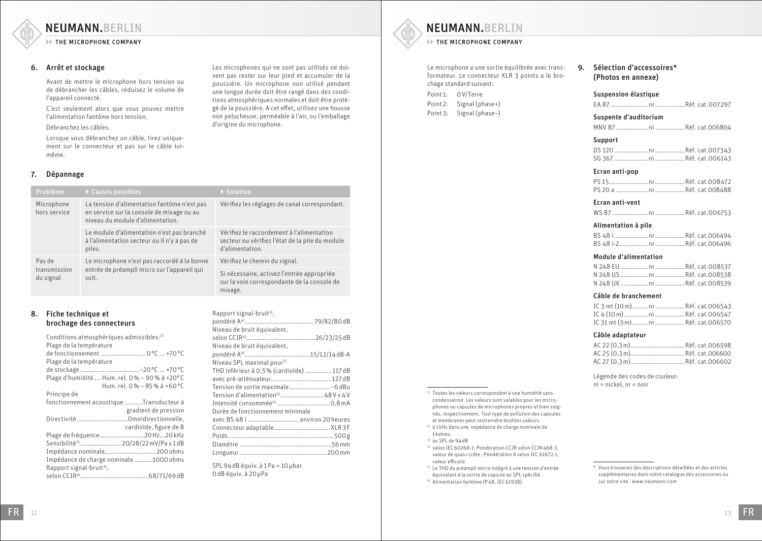**EXECUTE MICROPHONE COMPANY** 

# 6. Arrêt et stockage

Avant de mettre le microphone hors tension ou de débrancher les câbles, réduisez le volume de l'appareil connecté.

C'est seulement alors que vous pouvez mettre l'alimentation fantôme hors tension.

Débranchez les câbles.

Lorsque vous débranchez un câble, tirez uniquement sur le connecteur et pas sur le câble luimême.

# 7. Dépannage

Les microphones qui ne sont pas utilisés ne doivent pas rester sur leur pied et accumuler de la poussière. Un microphone non utilisé pendant une longue durée doit être rangé dans des conditions atmosphériques normales et doit être protégé de la poussière. A cet effet, utilisez une housse non pelucheuse, perméable à l'air, ou l'emballage d'origine du microphone.

| Problème                   | $\triangleright$ Causes possibles                                                                                            | $\triangleright$ Solution                                                                                       |
|----------------------------|------------------------------------------------------------------------------------------------------------------------------|-----------------------------------------------------------------------------------------------------------------|
| Microphone<br>hors service | La tension d'alimentation fantôme n'est pas<br>en service sur la console de mixage ou au<br>niveau du module d'alimentation. | Vérifiez les réglages de canal correspondant.                                                                   |
|                            | Le module d'alimentation n'est pas branché<br>à l'alimentation secteur ou il n'y a pas de<br>piles.                          | Vérifiez le raccordement à l'alimentation<br>secteur ou vérifiez l'état de la pile du module<br>d'alimentation. |
| Pas de                     | Le microphone n'est pas raccordé à la bonne                                                                                  | Vérifiez le chemin du signal.                                                                                   |
| transmission<br>du signal  | entrée de préampli micro sur l'appareil qui<br>suit.                                                                         | Si nécessaire, activez l'entrée appropriée<br>sur la voie correspondante de la console de<br>mixage.            |
|                            |                                                                                                                              |                                                                                                                 |

# 8. Fiche technique et brochage des connecteurs

| Conditions atmosphériques admissibles: <sup>1)</sup><br>Plage de la température<br>de fonctionnement  0°C  +70°C |
|------------------------------------------------------------------------------------------------------------------|
| Plage de la température                                                                                          |
|                                                                                                                  |
| Plage d'humidité Hum. rel. 0% - 90% à +20°C                                                                      |
| Hum. rel. 0% - 85% à +60°C                                                                                       |
| Principe de                                                                                                      |
| fonctionnement acoustique Transducteur à                                                                         |
| gradient de pression                                                                                             |
| DirectivitéOmnidirectionnelle,                                                                                   |
| cardioïde, figure de 8                                                                                           |
| Plage de fréquence20 Hz20 kHz                                                                                    |
| Sensibilité <sup>2)</sup> 20/28/22 mV/Pa ± 1 dB                                                                  |
| Impédance nominale 200 ohms                                                                                      |
| Impédance de charge nominale 1000 ohms                                                                           |
| Rapport signal-bruit <sup>3)</sup> ,                                                                             |
|                                                                                                                  |

Rapport signal-bruit<sup>3)</sup>, pondéré A4).......................................... 79/82/80dB Niveau de bruit équivalent, selon CCIR4)..........................................26/23/25dB Niveau de bruit équivalent, pondéré A4)........................................15/12/14dB-A Niveau SPL maximal pour5) THD inférieur à 0,5% (cardioïde) ................ 117dB avec pré-atténuateur.....................................127dB Tension de sortie maximale......................... –6dBu Tension d'alimentation $^{6)}$ .................................. 48V ± 4V Intensité consommée6) ................................0,8mA Durée de fonctionnement minimale avec BS 48 i ............................... environ 20heures Connecteur adaptable..................................XLR 3 F Poids................................................................ 500g Diamètre ........................................................56mm Longueur.....................................................200mm

SPL 94 dB équiv. à 1Pa = 10 µbar 0dB équiv. à 20µPa

# NEUMANN, BERLIN

**EXECUTE MICROPHONE COMPANY** 

Le microphone a une sortie équilibrée avec transformateur. Le connecteur XLR 3 points a le brochage standard suivant: Point 1: 0V/Terre

Point 2: Signal (phase+) Point 3: Signal (phase–)

# 9. Sélection d'accessoires\* (Photos en annexe)

#### Suspension élastique

EA 87 .......................nr..................Réf. cat.007297

#### Suspente d'auditorium

MNV 87....................ni ..................Réf. cat.006804

#### Support

#### Ecran anti-pop

#### Ecran anti-vent

WS 87 ......................nr..................Réf. cat.006753

#### Alimentation à pile

### Module d'alimentation

# Câble de branchement

|  | IC 3 mt (10 m)nrRéf. cat.006543 |
|--|---------------------------------|
|  |                                 |
|  | IC 31 mt (5 m)nrRéf. cat.006570 |

#### Câble adaptateur

| AC 22 (0,3 m)Réf. cat.006598 |  |
|------------------------------|--|
| AC 25 (0,3 m)Réf. cat.006600 |  |
| AC 27 (0,3 m)Réf. cat.006602 |  |

Légende des codes de couleur: ni = nickel, nr = noir

1) Toutes les valeurs correspondent à une humidité sans condensation. Les valeurs sont valables pour les microphones ou capsules de microphones propres et bien soignés, respectivement. Tout type de pollution des capsules et membranes peut restreindre lesdites valeurs.

- 2) à 1 kHz dans une impédance de charge nominale de 1 kohms.
- 3) au SPL de 94dB
- 4) selon IEC60268-1; Pondération CCIR selon CCIR468-3, valeur de quasi-crête ; Pondération A selon IEC 61672-1, valeur efficace
- $5$  Le THD du préampli micro intégré à une tension d'entrée<br>équivalent à la sortie de cansule au SPL spécifié
- $6$  Alimentation fantôme (P48, IEC 61938).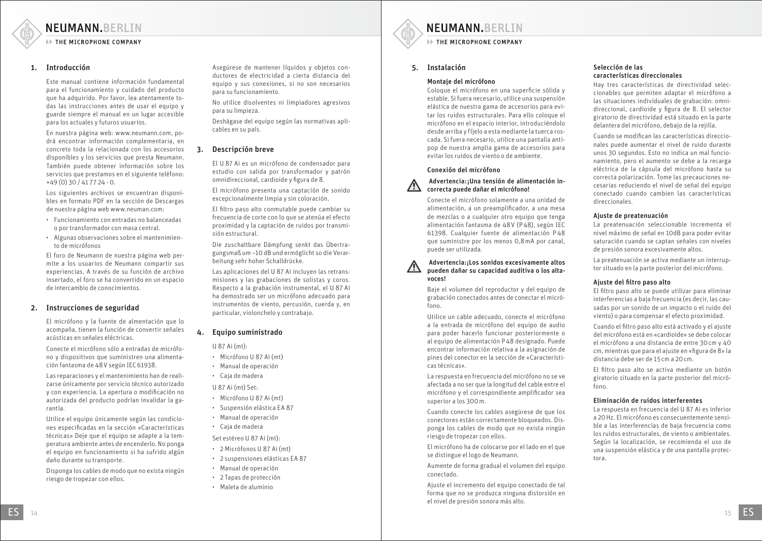# <span id="page-7-0"></span>THE MICROPHONE COMPANY

# 1. Introducción

Este manual contiene información fundamental para el funcionamiento y cuidado del producto que ha adquirido. Por favor, lea atentamente todas las instrucciones antes de usar el equipo y guarde siempre el manual en un lugar accesible para los actuales y futuros usuarios.

En nuestra página web: www.neumann.com, podrá encontrar información complementaria, en concreto toda la relacionada con los accesorios disponibles y los servicios que presta Neumann. También puede obtener información sobre los servicios que prestamos en el siguiente teléfono: +49 (0) 30 / 41 77 24 - 0.

Los siguientes archivos se encuentran disponibles en formato PDF en la sección de Descargas de nuestra página web www.neuman.com:

- Funcionamiento con entradas no balanceadas o por transformador con masa central.
- Algunas observaciones sobre el mantenimien-• to de micrófonos

El foro de Neumann de nuestra página web permite a los usuarios de Neumann compartir sus experiencias. A través de su función de archivo insertado, el foro se ha convertido en un espacio de intercambio de conocimientos.

# 2. Instrucciones de seguridad

El micrófono y la fuente de almentación que lo acompaña, tienen la función de convertir señales acústicas en señales eléctricas.

Conecte el micrófono sólo a entradas de micrófono y dispositivos que suministren una alimentación fantasma de 48V según IEC61938.

Las reparaciones y el mantenimiento han de realizarse únicamente por servicio técnico autorizado y con experiencia. La apertura o modificación no autorizada del producto podrían invalidar la garantía.

Utilice el equipo únicamente según las condiciones especificadas en la sección «Características técnicas» Deje que el equipo se adapte a la temperatura ambiente antes de encenderlo. No ponga el equipo en funcionamiento si ha sufrido algún daño durante su transporte.

Disponga los cables de modo que no exista ningún riesgo de tropezar con ellos.

Asegúrese de mantener líquidos y objetos conductores de electricidad a cierta distancia del equipo y sus conexiones, si no son necesarios para su funcionamiento.

No utilice disolventes ni limpiadores agresivos para su limpieza.

Deshágase del equipo según las normativas aplicables en su país.

# 3. Descripción breve

El U 87 Ai es un micrófono de condensador para estudio con salida por transformador y patrón omnidireccional, cardioide y figura de 8.

El micrófono presenta una captación de sonido excepcionalmente limpia y sin coloración.

El filtro paso alto conmutable puede cambiar su frecuencia de corte con lo que se atenúa el efecto proximidad y la captación de ruidos por transmisión estructural.

Die zuschaltbare Dämpfung senkt das Übertragungsmaß um –10 dB und ermöglicht so die Verarbeitung sehr hoher Schalldrücke.

Las aplicaciones del U 87 Ai incluyen las retransmisiones y las grabaciones de solistas y coros. Respecto a la grabación instrumental, el U 87 Ai ha demostrado ser un micrófono adecuado para instrumentos de viento, percusión, cuerda y, en particular, violonchelo y contrabajo.

# 4. Equipo suministrado

U 87 Ai (mt):

- Micrófono U 87 Ai (mt) •
- Manual de operación •
- Caja de madera •

U 87 Ai (mt) Set:

- Micrófono U 87 Ai (mt) •
- Suspensión elástica EA 87 •
- Manual de operación •
- Caja de madera •
- Set estéreo U 87 Ai (mt):
- 2 Micrófonos U 87 Ai (mt) •
- 2 suspensiones elásticas EA 87 •
- Manual de operación •
- 2 Tapas de protección •
- Maleta de aluminio •

# NEUMANN, BERLIN

**EXAMPLE MICROPHONE COMPANY** 

# 5. Instalación

#### Montaje del micrófono

Coloque el micrófono en una superficie sólida y estable. Si fuera necesario, utilice una suspensión elástica de nuestra gama de accesorios para evitar los ruidos estructurales. Para ello coloque el micrófono en el espacio interior, introduciéndolo desde arriba y fíjelo a esta mediante la tuerca roscada. Si fuera necesario, utilice una pantalla antipop de nuestra amplia gama de accesorios para evitar los ruidos de viento o de ambiente.

## Conexión del micrófono

puede ser utilizada.

#### Advertencia:¡Una tensión de alimentación incorrecta puede dañar el micrófono!

Conecte el micrófono solamente a una unidad de alimentación, a un preamplificador, a una mesa de mezclas o a cualquier otro equipo que tenga alimentación fantasma de 48V (P48), según IEC 61398. Cualquier fuente de alimentación P48 que suministre por los menos 0,8mA por canal,



 Advertencia:¡Los sonidos excesivamente altos pueden dañar su capacidad auditiva o los altavoces!

Baje el volumen del reproductor y del equipo de grabación conectados antes de conectar el micrófono.

Utilice un cable adecuado, conecte el micrófono a la entrada de micrófono del equipo de audio para poder hacerlo funcionar posteriormente o al equipo de alimentación P48 designado. Puede encontrar información relativa a la asignación de pines del conector en la sección de «Características técnicas».

La respuesta en frecuencia del micrófono no se ve afectada a no ser que la longitud del cable entre el micrófono y el correspondiente amplificador sea superior a los 300m.

Cuando conecte los cables asegúrese de que los conectores están correctamente bloqueados. Disponga los cables de modo que no exista ningún riesgo de tropezar con ellos.

El micrófono ha de colocarse por el lado en el que se distingue el logo de Neumann.

Aumente de forma gradual el volumen del equipo conectado.

Ajuste el incremento del equipo conectado de tal forma que no se produzca ninguna distorsión en el nivel de presión sonora más alto.

### Selección de las características direccionales

Hay tres características de directividad seleccionables que permiten adaptar el micrófono a las situaciones individuales de grabación: omnidireccional, cardioide y figura de 8. El selector giratorio de directividad está situado en la parte delantera del micrófono, debajo de la rejilla.

Cuando se modifican las características direccionales puede aumentar el nivel de ruido durante unos 30 segundos. Esto no indica un mal funcionamiento, pero el aumento se debe a la recarga eléctrica de la cápsula del micrófono hasta su correcta polarización. Tome las precauciones necesarias reduciendo el nivel de señal del equipo conectado cuando cambien las características direccionales.

#### Ajuste de preatenuación

La preatenuación seleccionable incrementa el nivel máximo de señal en 10dB para poder evitar saturación cuando se captan señales con niveles de presión sonora excesivamente altos.

La preatenuación se activa mediante un interruptor situado en la parte posterior del micrófono.

#### Ajuste del filtro paso alto

El filtro paso alto se puede utilizar para eliminar interferencias a baja frecuencia (es decir, las causadas por un sonido de un impacto o el ruido del viento) o para compensar el efecto proximidad.

Cuando el filtro paso alto está activado y el ajuste del micrófono está en «cardioide» se debe colocar el micrófono a una distancia de entre 30cm y 40 cm, mientras que para el ajuste en «figura de 8» la distancia debe ser de 15 cm a 20cm.

El filtro paso alto se activa mediante un botón giratorio situado en la parte posterior del micrófono.

# Eliminación de ruidos interferentes

La respuesta en frecuencia del U 87 Ai es inferior a 20Hz. El micrófono es consecuentemente sensible a las interferencias de baja frecuencia como los ruidos estructurales, de viento o ambientales. Según la localización, se recomienda el uso de una suspensión elástica y de una pantalla protectora.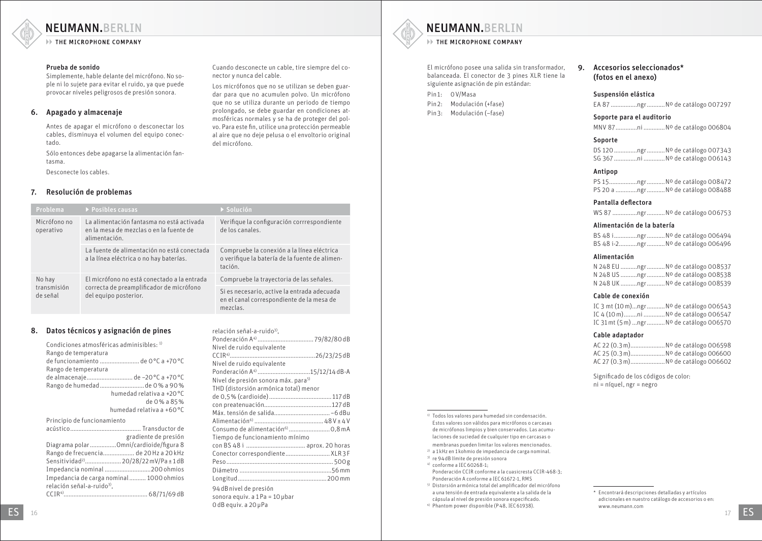

**EXAMPLE MICROPHONE COMPANY** 

### Prueba de sonido

Simplemente, hable delante del micrófono. No sople ni lo sujete para evitar el ruido, ya que puede provocar niveles peligrosos de presión sonora.

# 6. Apagado y almacenaje

Antes de apagar el micrófono o desconectar los cables, disminuya el volumen del equipo conectado.

Sólo entonces debe apagarse la alimentación fantasma.

Desconecte los cables.

# 7. Resolución de problemas

| Problema                          | ▶ Posibles causas                                                                                                | $\triangleright$ Solución                                                                               |
|-----------------------------------|------------------------------------------------------------------------------------------------------------------|---------------------------------------------------------------------------------------------------------|
| Micrófono no<br>operativo         | La alimentación fantasma no está activada<br>en la mesa de mezclas o en la fuente de<br>alimentación.            | Verifique la configuración corrrespondiente<br>de los canales.                                          |
|                                   | La fuente de alimentación no está conectada<br>a la línea eléctrica o no hay baterías.                           | Compruebe la conexión a la línea eléctrica<br>o verifique la batería de la fuente de alimen-<br>tación. |
| No hay<br>transmisión<br>de señal | El micrófono no está conectado a la entrada<br>correcta de preamplificador de micrófono<br>del equipo posterior. | Compruebe la trayectoria de las señales.                                                                |
|                                   |                                                                                                                  | Si es necesario, active la entrada adecuada<br>en el canal correspondiente de la mesa de<br>mezclas.    |

# 8. Datos técnicos y asignación de pines

| Condiciones atmosféricas adminisibles: 1)        | гч<br>Ni      |
|--------------------------------------------------|---------------|
| Rango de temperatura                             | C(            |
| de funcionamiento de O°C a +70°C                 | Ni            |
| Rango de temperatura                             | Po            |
| de almacenajede -20 °C a +70 °C                  | Ni            |
| Rango de humedadde 0 % a 90 %                    | Τŀ            |
| humedad relativa a +20 °C                        | de            |
| de 0 % a 85 %                                    | CO            |
| humedad relativa a +60°C                         | M.            |
| Principio de funcionamiento                      | Al            |
|                                                  | Сc            |
| gradiente de presión                             | Τi            |
| Diagrama polar Omni/cardioide/figura 8           | CO            |
| Rango de frecuencia de 20 Hz a 20 kHz            | Сc            |
| Sensitividad <sup>2)</sup> 20/28/22 mV/Pa ± 1 dB | Pe            |
| Impedancia nominal 200 ohmios                    | Di            |
| Impedancia de carga nominal 1000 ohmios          | Lс            |
| relación señal-a-ruido <sup>3)</sup> ,           | 94            |
|                                                  | $\sim$ $\sim$ |

Cuando desconecte un cable, tire siempre del conector y nunca del cable.

Los micrófonos que no se utilizan se deben guardar para que no acumulen polvo. Un micrófono que no se utiliza durante un periodo de tiempo prolongado, se debe guardar en condiciones atmosféricas normales y se ha de proteger del polvo. Para este fin, utilice una protección permeable al aire que no deje pelusa o el envoltorio original del micrófono.

| relación señal-a-ruido <sup>3)</sup> .          |  |
|-------------------------------------------------|--|
|                                                 |  |
| Nivel de ruido equivalente                      |  |
|                                                 |  |
| Nivel de ruido equivalente                      |  |
| Ponderación A <sup>4)</sup> 15/12/14dB-A        |  |
| Nivel de presión sonora máx. para <sup>5)</sup> |  |
| THD (distorsión armónica total) menor           |  |
|                                                 |  |
|                                                 |  |
|                                                 |  |
|                                                 |  |
| Consumo de alimentación <sup>6)</sup> 0,8 mA    |  |
| Tiempo de funcionamiento mínimo                 |  |
|                                                 |  |
| Conector correspondiente XLR3F                  |  |
|                                                 |  |
|                                                 |  |
|                                                 |  |
| 94 dB nivel de presión                          |  |

sonora equiv. a 1Pa = 10 ubar 0dB equiv. a 20µPa

NEUMANN, BERLIN

**EXAMPLE MICROPHONE COMPANY** 

El micrófono posee una salida sin transformador, balanceada. El conector de 3 pines XLR tiene la siguiente asignación de pin estándar:

Pin1: 0V/Masa Pin 2: Modulación (+fase) Pin 3: Modulación (–fase)

# 9. Accesorios seleccionados\* (fotos en el anexo)

#### Suspensión elástica

EA 87 ................ngr...........Nº de catálogo 007297

#### Soporte para el auditorio

MNV 87.............ni .............Nº de catálogo 006804

#### Soporte

| DS 120 ngr No de catálogo 007343 |  |  |
|----------------------------------|--|--|
| SG 367 ni  No de catálogo 006143 |  |  |

#### Antipop

| PS 15ngrNo de catálogo 008472      |  |  |
|------------------------------------|--|--|
| PS 20 a ngr  No de catálogo 008488 |  |  |

#### Pantalla deflectora

WS 87 ...............ngr...........Nº de catálogo 006753

#### Alimentación de la batería

| BS 48 ingrNo de catálogo 006494   |
|-----------------------------------|
| BS 48 i-2ngrNo de catálogo 006496 |

#### Alimentación

| N 248 EU ngr  Nº de catálogo 008537 |  |
|-------------------------------------|--|
| N 248 US ngr  No de catálogo 008538 |  |
| N 248 UK ngr  No de catálogo 008539 |  |

# Cable de conexión

IC 3 mt (10m)...ngr...........Nº de catálogo 006543 IC 4 (10m)........ni .............Nº de catálogo 006547 IC 31mt (5m) ...ngr...........Nº de catálogo 006570

### Cable adaptador

| AC 22 (0.3 m) Nº de catálogo 006598 |                                     |
|-------------------------------------|-------------------------------------|
| AC 25 (0.3 m) Nº de catálogo 006600 |                                     |
|                                     | AC 27 (0.3 m) No de catálogo 006602 |

Significado de los códigos de color: ni = níquel, ngr = negro

- 1) Todos los valores para humedad sin condensación. Estos valores son válidos para micrófonos o carcasas de micrófonos limpios y bien conservados. Las acumulaciones de suciedad de cualquier tipo en carcasas o
- membranas pueden limitar los valores mencionados.
- 2) a 1 kHz en 1 kohmio de impedancia de carga nominal. 3) re 94dB límite de presión sonora
- 4) conforme a IEC60268-1;
- Ponderación CCIR conforme a la cuasicresta CCIR-468-3; Ponderación A conforme a IEC61672-1, RMS
- 5) Distorsión armónica total del amplificador del micrófono a una tensión de entrada equivalente a la salida de la cápsula al nivel de presión sonora especificado. 6) Phantom power disponible (P48, IEC61938).
-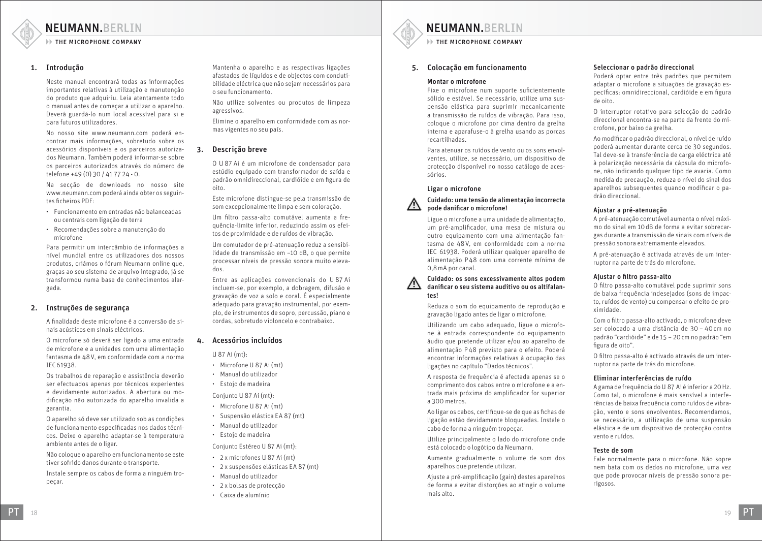<span id="page-9-0"></span>**EXAMPLE MICROPHONE COMPANY** 

# 1. Introdução

Neste manual encontrará todas as informações importantes relativas à utilização e manutenção do produto que adquiriu. Leia atentamente todo o manual antes de começar a utilizar o aparelho. Deverá guardá-lo num local acessível para si e para futuros utilizadores.

No nosso site www.neumann.com poderá encontrar mais informações, sobretudo sobre os acessórios disponíveis e os parceiros autorizados Neumann. Também poderá informar-se sobre os parceiros autorizados através do número de telefone +49 (0) 30 / 41 77 24 - 0.

Na secção de downloads no nosso site www.neumann.com poderá ainda obter os seguintes ficheiros PDF:

- Funcionamento em entradas não balanceadas ou centrais com ligação de terra
- Recomendações sobre a manutenção do microfone

Para permitir um intercâmbio de informações a nível mundial entre os utilizadores dos nossos produtos, criámos o fórum Neumann online que, graças ao seu sistema de arquivo integrado, já se transformou numa base de conhecimentos alargada.

# 2. Instruções de segurança

A finalidade deste microfone é a conversão de sinais acústicos em sinais eléctricos.

O microfone só deverá ser ligado a uma entrada de microfone e a unidades com uma alimentação fantasma de 48V, em conformidade com a norma IEC61938.

Os trabalhos de reparação e assistência deverão ser efectuados apenas por técnicos experientes e devidamente autorizados. A abertura ou modificação não autorizada do aparelho invalida a garantia.

O aparelho só deve ser utilizado sob as condições de funcionamento especificadas nos dados técnicos. Deixe o aparelho adaptar-se à temperatura ambiente antes de o ligar.

Não coloque o aparelho em funcionamento se este tiver sofrido danos durante o transporte.

Instale sempre os cabos de forma a ninguém tropeçar.

Mantenha o aparelho e as respectivas ligações afastados de líquidos e de objectos com condutibilidade eléctrica que não sejam necessários para o seu funcionamento.

Não utilize solventes ou produtos de limpeza agressivos.

Elimine o aparelho em conformidade com as normas vigentes no seu país.

# 3. Descrição breve

O U 87 Ai é um microfone de condensador para estúdio equipado com transformador de saída e padrão omnidireccional, cardióide e em figura de oito.

Este microfone distingue-se pela transmissão de som excepcionalmente limpa e sem coloração.

Um filtro passa-alto comutável aumenta a frequência-limite inferior, reduzindo assim os efeitos de proximidade e de ruídos de vibração.

Um comutador de pré-atenuação reduz a sensibilidade de transmissão em –10 dB, o que permite processar níveis de pressão sonora muito elevados.

Entre as aplicações convencionais do U 87 Ai incluem-se, por exemplo, a dobragem, difusão e gravação de voz a solo e coral. É especialmente adequado para gravação instrumental, por exemplo, de instrumentos de sopro, percussão, piano e cordas, sobretudo violoncelo e contrabaixo.

# 4. Acessórios incluídos

U 87 Ai (mt):

- Microfone U 87 Ai (mt) •
- Manual do utilizador •
- Estojo de madeira •

Conjunto U 87 Ai (mt):

- Microfone U 87 Ai (mt) •
- 
- Suspensão elástica EA 87 (mt)
- Manual do utilizador •
- Estojo de madeira •

Conjunto Estéreo U 87 Ai (mt):

- 2 x microfones U 87 Ai (mt) •
- 2 x suspensões elásticas EA 87 (mt) •
- Manual do utilizador •
- 2 x bolsas de protecção •
- Caixa de alumínio •

# NEUMANN, BERLIN

**EXAMPLE MICROPHONE COMPANY** 

# 5. Colocação em funcionamento

#### Montar o microfone

Fixe o microfone num suporte suficientemente sólido e estável. Se necessário, utilize uma suspensão elástica para suprimir mecanicamente a transmissão de ruídos de vibração. Para isso, coloque o microfone por cima dentro da grelha interna e aparafuse-o à grelha usando as porcas recartilhadas.

Para atenuar os ruídos de vento ou os sons envolventes, utilize, se necessário, um dispositivo de protecção disponível no nosso catálogo de acessórios.

#### Ligar o microfone



Cuidado: uma tensão de alimentação incorrecta pode danificar o microfone!

Ligue o microfone a uma unidade de alimentação, um pré-amplificador, uma mesa de mistura ou outro equipamento com uma alimentação fantasma de 48V, em conformidade com a norma IEC 61938. Poderá utilizar qualquer aparelho de alimentação P48 com uma corrente mínima de 0,8mA por canal.



# danificar o seu sistema auditivo ou os altifalantes!

Cuidado: os sons excessivamente altos podem

Reduza o som do equipamento de reprodução e gravação ligado antes de ligar o microfone.

Utilizando um cabo adequado, ligue o microfone à entrada correspondente do equipamento áudio que pretende utilizar e/ou ao aparelho de alimentação P48 previsto para o efeito. Poderá encontrar informações relativas à ocupação das ligações no capítulo "Dados técnicos".

A resposta de frequência é afectada apenas se o comprimento dos cabos entre o microfone e a entrada mais próxima do amplificador for superior a 300 metros.

Ao ligar os cabos, certifique-se de que as fichas de ligação estão devidamente bloqueadas. Instale o cabo de forma a ninguém tropeçar.

Utilize principalmente o lado do microfone onde está colocado o logótipo da Neumann.

Aumente gradualmente o volume de som dos aparelhos que pretende utilizar.

Ajuste a pré-amplificação (gain) destes aparelhos de forma a evitar distorções ao atingir o volume mais alto.

# Seleccionar o padrão direccional

Poderá optar entre três padrões que permitem adaptar o microfone a situações de gravação específicas: omnidireccional, cardióide e em figura de oito.

O interruptor rotativo para selecção do padrão direccional encontra-se na parte da frente do microfone, por baixo da grelha.

Ao modificar o padrão direccional, o nível de ruído poderá aumentar durante cerca de 30 segundos. Tal deve-se à transferência de carga eléctrica até à polarização necessária da cápsula do microfone, não indicando qualquer tipo de avaria. Como medida de precaução, reduza o nível do sinal dos aparelhos subsequentes quando modificar o padrão direccional.

# Ajustar a pré-atenuação

A pré-atenuação comutável aumenta o nível máximo do sinal em 10dB de forma a evitar sobrecargas durante a transmissão de sinais com níveis de pressão sonora extremamente elevados.

A pré-atenuação é activada através de um interruptor na parte de trás do microfone.

#### Ajustar o filtro passa-alto

O filtro passa-alto comutável pode suprimir sons de baixa frequência indesejados (sons de impacto, ruídos de vento) ou compensar o efeito de proximidade.

Com o filtro passa-alto activado, o microfone deve ser colocado a uma distância de 30 – 40cm no padrão "cardióide" e de 15 – 20cm no padrão "em figura de oito".

O filtro passa-alto é activado através de um interruptor na parte de trás do microfone.

# Eliminar interferências de ruído

A gama de frequência do U 87 Ai é inferior a 20Hz. Como tal, o microfone é mais sensível a interferências de baixa frequência como ruídos de vibração, vento e sons envolventes. Recomendamos, se necessário, a utilização de uma suspensão elástica e de um dispositivo de protecção contra vento e ruídos.

#### Teste de som

Fale normalmente para o microfone. Não sopre nem bata com os dedos no microfone, uma vez que pode provocar níveis de pressão sonora perigosos.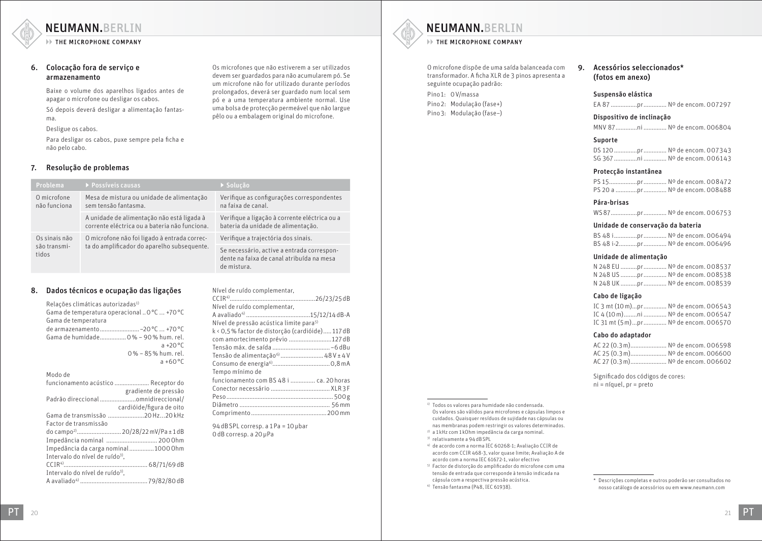

**EXECUTE MICROPHONE COMPANY** 

# 6. Colocação fora de serviço e armazenamento

Baixe o volume dos aparelhos ligados antes de apagar o microfone ou desligar os cabos.

Só depois deverá desligar a alimentação fantasma.

Desligue os cabos.

Para desligar os cabos, puxe sempre pela ficha e não pelo cabo.

# 7. Resolução de problemas

**Problema** ▶ Possíveis causas **▶ Possíveis causas** O microfone não funciona Mesa de mistura ou unidade de alimentação sem tensão fantasma. Verifique as configurações correspondentes na faixa de canal. A unidade de alimentação não está ligada à corrente eléctrica ou a bateria não funciona. Verifique a ligação à corrente eléctrica ou a bateria da unidade de alimentação. Os sinais não são transmitidos O microfone não foi ligado à entrada correcta do amplificador do aparelho subsequente. Verifique a trajectória dos sinais. Se necessário, active a entrada correspondente na faixa de canal atribuída na mesa de mistura.

# 8. Dados técnicos e ocupação das ligações

| Relações climáticas autorizadas <sup>1)</sup><br>Gama de temperatura operacional  O °C  +70 °C<br>Gama de temperatura<br>de armazenamento - 20 ° C  +70 ° C<br>Gama de humidade 0% - 90% hum. rel.<br>$a + 20^{\circ}$ C.<br>0 % – 85 % hum. rel.<br>$a + 60^{\circ}$ C |
|-------------------------------------------------------------------------------------------------------------------------------------------------------------------------------------------------------------------------------------------------------------------------|
| Modo de                                                                                                                                                                                                                                                                 |
| funcionamento acústico  Receptor do                                                                                                                                                                                                                                     |
| gradiente de pressão                                                                                                                                                                                                                                                    |
| Padrão direccional omnidireccional/                                                                                                                                                                                                                                     |
| cardióide/figura de oito                                                                                                                                                                                                                                                |
| Gama de transmissão 20 Hz20 kHz                                                                                                                                                                                                                                         |
| Factor de transmissão                                                                                                                                                                                                                                                   |
|                                                                                                                                                                                                                                                                         |
| Impedância nominal  2000hm                                                                                                                                                                                                                                              |
| Impedância da carga nominal 1000 Ohm                                                                                                                                                                                                                                    |
| Intervalo do nível de ruído <sup>3)</sup> .                                                                                                                                                                                                                             |
|                                                                                                                                                                                                                                                                         |

A avaliado4) ......................................... 79/82/80dB

Intervalo do nível de ruído<sup>3)</sup>,

Os microfones que não estiverem a ser utilizados devem ser guardados para não acumularem pó. Se um microfone não for utilizado durante períodos prolongados, deverá ser guardado num local sem pó e a uma temperatura ambiente normal. Use uma bolsa de protecção permeável que não largue pêlo ou a embalagem original do microfone.

Nível de ruído complementar,

Nível de ruído complementar,

Tempo mínimo de

0dB corresp. a 20µPa

CCIR4)....................................................26/23/25dB

A avaliado4) .......................................15/12/14dB-A Nível de pressão acústica limite para<sup>5)</sup> k < 0,5% factor de distorção (cardióide)..... 117dB com amortecimento prévio ..........................127dB Tensão máx. de saída ................................... –6dBu Tensão de alimentação<sup>6)</sup> ................................ 48V ± 4V Consumo de energia6)...................................0,8mA

funcionamento com BS 48 i ............... ca. 20horas Conector necessário ....................................XLR 3 F Peso................................................................. 500g Diâmetro ....................................................... 56mm Comprimento..............................................200mm

94dBSPL corresp. a 1Pa = 10µbar

NEUMANN, BERLIN

**EXECUTE MICROPHONE COMPANY** 

O microfone dispõe de uma saída balanceada com transformador. A ficha XLR de 3 pinos apresenta a seguinte ocupação padrão:

Pino1: 0V/massa Pino 2: Modulação (fase+) Pino 3: Modulação (fase–)

# 9. Acessórios seleccionados\* (fotos em anexo)

#### Suspensão elástica

EA 87 ................pr.............. Nº de encom. 007297

#### Dispositivo de inclinação

MNV 87.............ni .............. Nº de encom. 006804

#### Suporte

| DS 120 pr  Nº de encom. 007343 |  |  |
|--------------------------------|--|--|
| SG 367 ni  Nº de encom. 006143 |  |  |

### Protecção instantânea

| PS 15pr Nº de encom. 008472     |  |  |
|---------------------------------|--|--|
| PS 20 a pr  Nº de encom. 008488 |  |  |

#### Pára-brisas

WS87................pr.............. Nº de encom. 006753

#### Unidade de conservação da bateria

| BS 48 ipr Nº de encom. 006494   |  |
|---------------------------------|--|
| BS 48 i-2pr Nº de encom. 006496 |  |

#### Unidade de alimentação

|  |  | N 248 EU pr  Nº de encom. 008537 |  |
|--|--|----------------------------------|--|
|  |  | N 248 US pr  Nº de encom. 008538 |  |
|  |  | N 248 UK pr  Nº de encom. 008539 |  |

# Cabo de ligação

IC 3 mt (10m)...pr.............. Nº de encom. 006543 IC 4 (10m)........ni .............. Nº de encom. 006547 IC 31 mt (5m)...pr.............. Nº de encom. 006570

#### Cabo do adaptador

| AC 22 (0.3 m) Nº de encom. 006598 |  |
|-----------------------------------|--|
| AC 25 (0.3 m) Nº de encom. 006600 |  |
| AC 27 (0.3 m) Nº de encom. 006602 |  |

Significado dos códigos de cores: ni = níquel, pr = preto

1) Todos os valores para humidade não condensada. Os valores são válidos para microfones e cápsulas limpos e cuidados. Quaisquer resíduos de sujidade nas cápsulas ou nas membranas podem restringir os valores determinados.

- 2) a 1 kHz com 1 kOhm impedância da carga nominal.
- 3) relativamente a 94dBSPL
- 4) de acordo com a norma IEC 60268-1; Avaliação CCIR de acordo com CCIR 468-3, valor quase limite; Avaliação A de acordo com a norma IEC 61672-1, valor efectivo
- 5) Factor de distorção do amplificador do microfone com uma tensão de entrada que corresponde à tensão indicada na cápsula com a respectiva pressão acústica.
- 6) Tensão fantasma (P48, IEC 61938).

20 and the contract of the contract of the contract of the contract of the contract of the contract of the contract of the contract of the contract of the contract of the contract of the contract of the contract of the con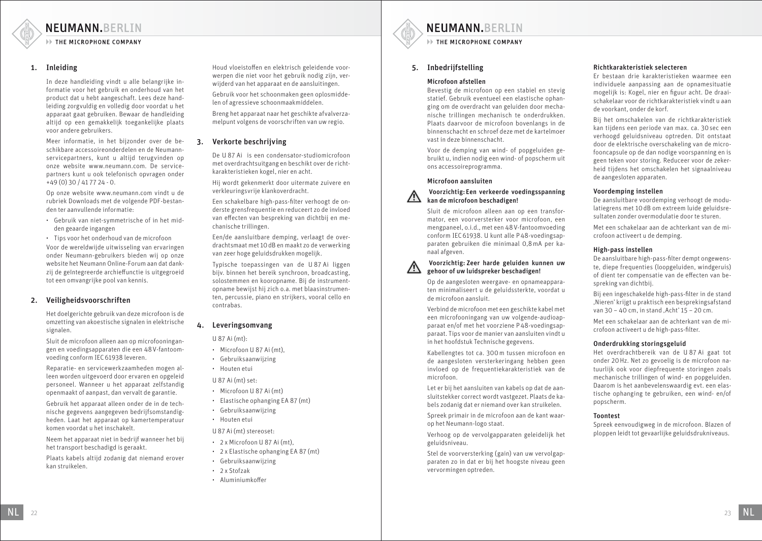<span id="page-11-0"></span>**EXAMPLE MICROPHONE COMPANY** 

# 1. Inleiding

In deze handleiding vindt u alle belangrijke informatie voor het gebruik en onderhoud van het product dat u hebt aangeschaft. Lees deze handleiding zorgvuldig en volledig door voordat u het apparaat gaat gebruiken. Bewaar de handleiding altijd op een gemakkelijk toegankelijke plaats voor andere gebruikers.

Meer informatie, in het bijzonder over de beschikbare accessoireonderdelen en de Neumannservicepartners, kunt u altijd terugvinden op onze website www.neumann.com. De servicepartners kunt u ook telefonisch opvragen onder +49 (0) 30 / 41 77 24 - 0.

Op onze website www.neumann.com vindt u de rubriek Downloads met de volgende PDF-bestanden ter aanvullende informatie:

- Gebruik van niet-symmetrische of in het mid-• den geaarde ingangen
- Tips voor het onderhoud van de microfoon Voor de wereldwijde uitwisseling van ervaringen onder Neumann-gebruikers bieden wij op onze website het Neumann Online-Forum aan dat dankzij de geïntegreerde archieffunctie is uitgegroeid tot een omvangrijke pool van kennis.

# 2. Veiligheidsvoorschriften

Het doelgerichte gebruik van deze microfoon is de omzetting van akoestische signalen in elektrische signalen.

Sluit de microfoon alleen aan op microfooningangen en voedingsapparaten die een 48V-fantoomvoeding conform IEC61938 leveren.

Reparatie- en servicewerkzaamheden mogen alleen worden uitgevoerd door ervaren en opgeleid personeel. Wanneer u het apparaat zelfstandig openmaakt of aanpast, dan vervalt de garantie.

Gebruik het apparaat alleen onder de in de technische gegevens aangegeven bedrijfsomstandigheden. Laat het apparaat op kamertemperatuur komen voordat u het inschakelt.

Neem het apparaat niet in bedrijf wanneer het bij het transport beschadigd is geraakt.

Plaats kabels altijd zodanig dat niemand erover kan struikelen.

Houd vloeistoffen en elektrisch geleidende voorwerpen die niet voor het gebruik nodig zijn, verwijderd van het apparaat en de aansluitingen.

Gebruik voor het schoonmaken geen oplosmiddelen of agressieve schoonmaakmiddelen.

Breng het apparaat naar het geschikte afvalverzamelpunt volgens de voorschriften van uw regio.

# 3. Verkorte beschrijving

De U 87 Ai is een condensator-studiomicrofoon met overdrachtsuitgang en beschikt over de richtkarakteristieken kogel, nier en acht.

Hij wordt gekenmerkt door uitermate zuivere en verkleuringsvrije klankoverdracht.

Een schakelbare high-pass-filter verhoogt de onderste grensfrequentie en reduceert zo de invloed van effecten van bespreking van dichtbij en mechanische trillingen.

Een/de aansluitbare demping, verlaagt de overdrachtsmaat met 10dB en maakt zo de verwerking van zeer hoge geluidsdrukken mogelijk.

Typische toepassingen van de U 87 Ai liggen bijv. binnen het bereik synchroon, broadcasting, solostemmen en kooropname. Bij de instrumentopname bewijst hij zich o.a. met blaasinstrumenten, percussie, piano en strijkers, vooral cello en contrabas.

# 4. Leveringsomvang

U 87 Ai (mt):

- Microfoon U 87 Ai (mt), •
- Gebruiksaanwijzing •
- Houten etui
- U 87 Ai (mt) set:
- Microfoon U 87 Ai (mt) •
- Elastische ophanging EA 87 (mt)
- Gebruiksaanwijzing •
- Houten etui

# U 87 Ai (mt) stereoset:

- 2 x Microfoon U 87 Ai (mt), •
- 2 x Elastische ophanging EA 87 (mt) •
- Gebruiksaanwijzing •
- 2 x Stofzak •
- Aluminiumkoffer •

# NEUMANN, BERLIN

**EXAMPLE MICROPHONE COMPANY** 

# 5. Inbedrijfstelling

# Microfoon afstellen

Bevestig de microfoon op een stabiel en stevig statief. Gebruik eventueel een elastische ophanging om de overdracht van geluiden door mechanische trillingen mechanisch te onderdrukken. Plaats daarvoor de microfoon bovenlangs in de binnenschacht en schroef deze met de kartelmoer vast in deze binnenschacht.

Voor de demping van wind- of popgeluiden gebruikt u, indien nodig een wind- of popscherm uit ons accessoireprogramma.

# Microfoon aansluiten

# Voorzichtig: Een verkeerde voedingsspanning kan de microfoon beschadigen!

Sluit de microfoon alleen aan op een transformator, een voorversterker voor microfoon, een mengpaneel, o.i.d., met een 48V-fantoomvoeding conform IEC61938. U kunt alle P48-voedingsapparaten gebruiken die minimaal 0,8mA per kanaal afgeven.



# Voorzichtig: Zeer harde geluiden kunnen uw gehoor of uw luidspreker beschadigen!

Op de aangesloten weergave- en opnameapparaten minimaliseert u de geluidssterkte, voordat u de microfoon aansluit.

Verbind de microfoon met een geschikte kabel met een microfooningang van uw volgende-audioapparaat en/of met het voorziene P48-voedingsapparaat. Tips voor de manier van aansluiten vindt u in het hoofdstuk Technische gegevens.

Kabellengtes tot ca. 300m tussen microfoon en de aangesloten versterkeringang hebben geen invloed op de frequentiekarakteristiek van de microfoon.

Let er bij het aansluiten van kabels op dat de aansluitstekker correct wordt vastgezet. Plaats de kabels zodanig dat er niemand over kan struikelen.

Spreek primair in de microfoon aan de kant waarop het Neumann-logo staat.

Verhoog op de vervolgapparaten geleidelijk het geluidsniveau.

Stel de voorversterking (gain) van uw vervolgapparaten zo in dat er bij het hoogste niveau geen vervormingen optreden.

### Richtkarakteristiek selecteren

Er bestaan drie karakteristieken waarmee een individuele aanpassing aan de opnamesituatie mogelijk is: Kogel, nier en figuur acht. De draaischakelaar voor de richtkarakteristiek vindt u aan de voorkant, onder de korf.

Bij het omschakelen van de richtkarakteristiek kan tijdens een periode van max. ca. 30sec een verhoogd geluidsniveau optreden. Dit ontstaat door de elektrische overschakeling van de microfooncapsule op de dan nodige voorspanning en is geen teken voor storing. Reduceer voor de zekerheid tijdens het omschakelen het signaalniveau de aangesloten apparaten.

#### Voordemping instellen

De aansluitbare voordemping verhoogt de modulatiegrens met 10dB om extreem luide geluidsresultaten zonder overmodulatie door te sturen.

Met een schakelaar aan de achterkant van de microfoon activeert u de demping.

# High-pass instellen

De aansluitbare high-pass-filter dempt ongewenste, diepe frequenties (loopgeluiden, windgeruis) of dient ter compensatie van de effecten van bespreking van dichtbij.

Bij een ingeschakelde high-pass-filter in de stand 'Nieren' krijgt u praktisch een besprekingsafstand van 30 – 40 cm, in stand  $\pi$ Acht' 15 – 20 cm.

Met een schakelaar aan de achterkant van de microfoon activeert u de high-pass-filter.

# Onderdrukking storingsgeluid

Het overdrachtbereik van de U 87 Ai gaat tot onder 20Hz. Net zo gevoelig is de microfoon natuurlijk ook voor diepfrequente storingen zoals mechanische trillingen of wind- en popgeluiden. Daarom is het aanbevelenswaardig evt. een elastische ophanging te gebruiken, een wind- en/of popscherm.

#### Toontest

Spreek eenvoudigweg in de microfoon. Blazen of ploppen leidt tot gevaarlijke geluidsdrukniveaus.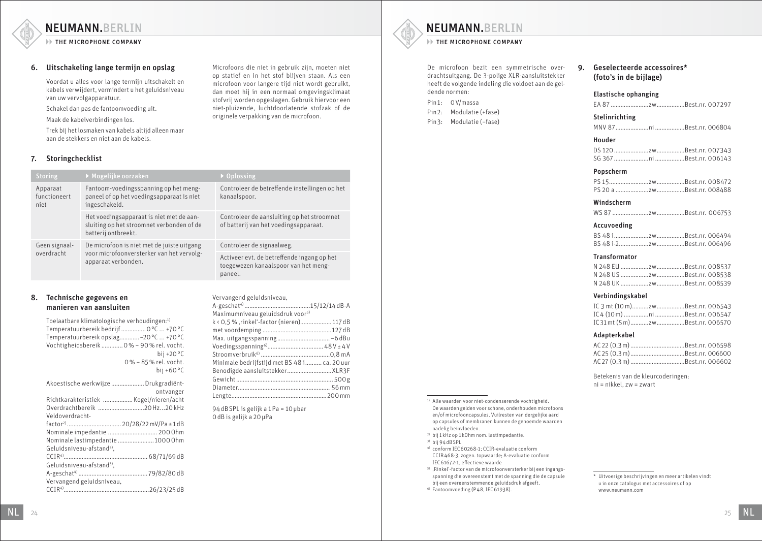## **EXECUTE MICROPHONE COMPANY**

# 6. Uitschakeling lange termijn en opslag

Voordat u alles voor lange termijn uitschakelt en kabels verwijdert, vermindert u het geluidsniveau van uw vervolgapparatuur.

Schakel dan pas de fantoomvoeding uit.

Maak de kabelverbindingen los.

Trek bij het losmaken van kabels altijd alleen maar aan de stekkers en niet aan de kabels.

# 7. Storingchecklist

Microfoons die niet in gebruik zijn, moeten niet op statief en in het stof blijven staan. Als een microfoon voor langere tijd niet wordt gebruikt, dan moet hij in een normaal omgevingsklimaat stofvrij worden opgeslagen. Gebruik hiervoor een niet-pluizende, luchtdoorlatende stofzak of de originele verpakking van de microfoon.

| <b>Storing</b>                   | ▶ Mogelijke oorzaken                                                                                           | $\triangleright$ Oplossing                                                                    |  |
|----------------------------------|----------------------------------------------------------------------------------------------------------------|-----------------------------------------------------------------------------------------------|--|
| Apparaat<br>functioneert<br>niet | Fantoom-voedingsspanning op het meng-<br>paneel of op het voedingsapparaat is niet<br>ingeschakeld.            | Controleer de betreffende instellingen op het<br>kanaalspoor.                                 |  |
|                                  | Het voedingsapparaat is niet met de aan-<br>sluiting op het stroomnet verbonden of de<br>batterij ontbreekt.   | Controleer de aansluiting op het stroomnet<br>of batterij van het voedingsapparaat.           |  |
| Geen signaal-                    | De microfoon is niet met de juiste uitgang<br>voor microfoonversterker van het vervolg-<br>apparaat verbonden. | Controleer de signaalweg.                                                                     |  |
| overdracht                       |                                                                                                                | Activeer evt. de betreffende ingang op het<br>toegewezen kanaalspoor van het meng-<br>paneel. |  |

# 8. Technische gegevens en manieren van aansluiten

Vervangend geluidsniveau, A-geschat4) ........................................15/12/14dB-A Maximumniveau geluidsdruk voor<sup>5)</sup> k < 0.5 % .rinkel'-factor (nieren)................... 117 dB met voordemping ..........................................127dB Max. uitgangsspanning................................ –6dBu Voedingsspanning6).................................. 48V±4V Stroomverbruik6) ..........................................0,8 mA Minimale bedrijfstijd met BS 48 i.......... ca. 20uur Benodigde aansluitstekker...........................XLR3F Gewicht........................................................... 500g Diameter........................................................ 56mm Lengte..........................................................200mm

94dBSPL is gelijk a 1Pa = 10µbar 0dB is gelijk a 20µPa

NEUMANN, BERLIN

**EXECUTE MICROPHONE COMPANY** 

De microfoon bezit een symmetrische overdrachtsuitgang. De 3-polige XLR-aansluitstekker heeft de volgende indeling die voldoet aan de geldende normen:

Pin1: 0V/massa Pin 2: Modulatie (+fase) Pin 3: Modulatie (–fase)

| Geselecteerde accessoires*<br>9. |                        |  |  |
|----------------------------------|------------------------|--|--|
|                                  | (foto's in de bijlage) |  |  |

#### Elastische ophanging

EA 87 .......................zw.................Best.nr. 007297

#### Stelinrichting

MNV 87....................ni ..................Best.nr. 006804

# Houder

#### Popscherm

# Windscherm

WS 87 ......................zw.................Best.nr. 006753

# Accuvoeding

BS 48 i.....................zw.................Best.nr. 006494 BS 48 i-2..................zw.................Best.nr. 006496

# Transformator

### Verbindingskabel

|  | IC 3 mt (10 m)zwBest.nr. 006543 |
|--|---------------------------------|
|  | IC 4 (10 m) ni Best.nr. 006547  |
|  | IC31mt (5m)zwBest.nr. 006570    |

### Adapterkabel

Betekenis van de kleurcoderingen: ni = nikkel, zw = zwart

- 1) Alle waarden voor niet-condenserende vochtigheid. De waarden gelden voor schone, onderhouden microfoons en/of microfooncapsules. Vuilresten van dergelijke aard op capsules of membranen kunnen de genoemde waarden nadelig beïnvloeden.
- 2) bij 1 kHz op 1 kOhm nom. lastimpedantie.
- 3) bij 94dBSPL
- 4) conform IEC60268-1; CCIR-evaluatie conform CCIR468-3, zogen. topwaarde; A-evaluatie conform IEC61672-1, effectieve waarde
- 5) 'Rinkel'-factor van de microfoonversterker bij een ingangsspanning die overeenstemt met de spanning die de capsule bij een overeenstemmende geluidsdruk afgeeft.
- $6$  Fantoomvoeding (P48, IEC 61938).

\* Uitvoerige beschrijvingen en meer artikelen vindt u in onze catalogus met accessoires of op www.neumann.com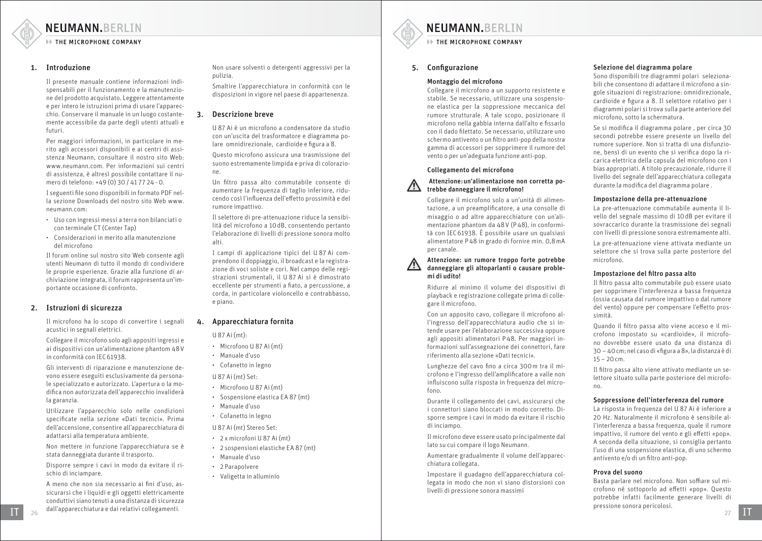<span id="page-13-0"></span>**EXAMPLE MICROPHONE COMPANY** 

# 1. Introduzione

Il presente manuale contiene informazioni indispensabili per il funzionamento e la manutenzione del prodotto acquistato. Leggere attentamente e per intero le istruzioni prima di usare l'apparecchio. Conservare il manuale in un luogo costantemente accessibile da parte degli utenti attuali e futuri.

Per maggiori informazioni, in particolare in merito agli accessori disponibili e ai centri di assistenza Neumann, consultare il nostro sito Web: www.neumann.com. Per informazioni sui centri di assistenza, è altresì possibile contattare il numero di telefono: +49 (0) 30 / 41 77 24 - 0.

I seguenti file sono disponibili in formato PDF nella sezione Downloads del nostro sito Web www. neumann.com:

- Uso con ingressi messi a terra non bilanciati o con terminale CT (Center Tap)
- Considerazioni in merito alla manutenzione del microfono

Il forum online sul nostro sito Web consente agli utenti Neumann di tutto il mondo di condividere le proprie esperienze. Grazie alla funzione di archiviazione integrata, il forum rappresenta un'importante occasione di confronto.

# 2. Istruzioni di sicurezza

Il microfono ha lo scopo di convertire i segnali acustici in segnali elettrici.

Collegare il microfono solo agli appositi ingressi e ai dispositivi con un'alimentazione phantom 48V in conformità con IEC61938.

Gli interventi di riparazione e manutenzione devono essere eseguiti esclusivamente da personale specializzato e autorizzato. L'apertura o la modifica non autorizzata dell'apparecchio invaliderà la garanzia.

Utilizzare l'apparecchio solo nelle condizioni specificate nella sezione «Dati tecnici». Prima dell'accensione, consentire all'apparecchiatura di adattarsi alla temperatura ambiente.

Non mettere in funzione l'apparecchiatura se è stata danneggiata durante il trasporto.

Disporre sempre i cavi in modo da evitare il rischio di inciampare.

 $26$   $27$ A meno che non sia necessario ai fini d'uso, assicurarsi che i liquidi e gli oggetti elettricamente conduttivi siano tenuti a una distanza di sicurezza dall'apparecchiatura e dai relativi collegamenti.  $\prod_{26}$  dall'apparecchiatura e dai relativi collegamenti.  $^{27}$   $\prod$ 

Non usare solventi o detergenti aggressivi per la pulizia.

Smaltire l'apparecchiatura in conformità con le disposizioni in vigore nel paese di appartenenza.

# 3. Descrizione breve

U 87 Ai è un microfono a condensatore da studio con un'uscita del trasformatore e diagramma polare omnidirezionale, cardioide e figura a 8.

Questo microfono assicura una trasmissione del suono estremamente limpida e priva di colorazione.

Un filtro passa alto commutabile consente di aumentare la frequenza di taglio inferiore, riducendo così l'influenza dell'effetto prossimità e del rumore impattivo.

Il selettore di pre-attenuazione riduce la sensibilità del microfono a 10dB, consentendo pertanto l'elaborazione di livelli di pressione sonora molto alti.

I campi di applicazione tipici del U 87 Ai comprendono il doppiaggio, il broadcast e la registrazione di voci soliste e cori. Nel campo delle registrazioni strumentali, il U 87 Ai si è dimostrato eccellente per strumenti a fiato, a percussione, a corda, in particolare violoncello e contrabbasso, e piano.

# 4. Apparecchiatura fornita

U 87 Ai (mt):

- Microfono U 87 Ai (mt)
- Manuale d'uso •
- Cofanetto in legno
- U 87 Ai (mt) Set:
- Microfono U 87 Ai (mt)
- Sospensione elastica EA 87 (mt)
- Manuale d'uso •
- Cofanetto in legno

U 87 Ai (mt) Stereo Set:

- 2 x microfoni U 87 Ai (mt) •
- 2 sospensioni elastiche EA 87 (mt) •
- Manuale d'uso •
- 2 Parapolvere
- Valigetta in alluminio •

# NEUMANN, BERLIN

**EXAMPLE MICROPHONE COMPANY** 

# 5. Configurazione

#### Montaggio del microfono

Collegare il microfono a un supporto resistente e stabile. Se necessario, utilizzare una sospensione elastica per la soppressione meccanica del rumore strutturale. A tale scopo, posizionare il microfono nella gabbia interna dall'alto e fissarlo con il dado filettato. Se necessario, utilizzare uno schermo antivento o un filtro anti-pop della nostra gamma di accessori per sopprimere il rumore del vento o per un'adeguata funzione anti-pop.

# Collegamento del microfono

# Attenzione:un'alimentazione non corretta potrebbe danneggiare il microfono!

Collegare il microfono solo a un'unità di alimentazione, a un preamplificatore, a una consolle di mixaggio o ad altre apparecchiature con un'alimentazione phantom da 48V (P48), in conformità con IEC61938. È possibile usare un qualsiasi alimentatore P48 in grado di fornire min. 0,8mA per canale.



#### Attenzione: un rumore troppo forte potrebbe danneggiare gli altoparlanti o causare problemi di udito!

Ridurre al minimo il volume dei dispositivi di playback e registrazione collegate prima di collegare il microfono.

Con un apposito cavo, collegare il microfono all'ingresso dell'apparecchiatura audio che si intende usare per l'elaborazione successiva oppure agli appositi alimentatori P48. Per maggiori informazioni sull'assegnazione dei connettori, fare riferimento alla sezione «Dati tecnici».

Lunghezze del cavo fino a circa 300m tra il microfono e l'ingresso dell'amplificatore a valle non influiscono sulla risposta in frequenza del microfono.

Durante il collegamento dei cavi, assicurarsi che i connettori siano bloccati in modo corretto. Disporre sempre i cavi in modo da evitare il rischio di inciampo.

Il microfono deve essere usato principalmente dal lato su cui compare il logo Neumann.

Aumentare gradualmente il volume dell'apparecchiatura collegata.

Impostare il guadagno dell'apparecchiatura collegata in modo che non vi siano distorsioni con livelli di pressione sonora massimi

#### Selezione del diagramma polare

Sono disponibili tre diagrammi polari selezionabili che consentono di adattare il microfono a singole situazioni di registrazione: omnidirezionale, cardioide e figura a 8. Il selettore rotativo per i diagrammi polari si trova sulla parte anteriore del microfono, sotto la schermatura.

Se si modifica il diagramma polare , per circa 30 secondi potrebbe essere presente un livello del rumore superiore. Non si tratta di una disfunzione, bensì di un evento che si verifica dopo la ricarica elettrica della capsula del microfono con i bias appropriati. A titolo precauzionale, ridurre il livello del segnale dell'apparecchiatura collegata durante la modifica del diagramma polare .

# Impostazione della pre-attenuazione

La pre-attenuazione commutabile aumenta il livello del segnale massimo di 10dB per evitare il sovraccarico durante la trasmissione dei segnali con livelli di pressione sonora estremamente alti.

La pre-attenuazione viene attivata mediante un selettore che si trova sulla parte posteriore del microfono.

#### Impostazione del filtro passa alto

Il filtro passa alto commutabile può essere usato per sopprimere l'interferenza a bassa frequenza (ossia causata dal rumore impattivo o dal rumore del vento) oppure per compensare l'effetto prossimità.

Quando il filtro passa alto viene acceso e il microfono impostato su «cardioide», il microfono dovrebbe essere usato da una distanza di 30 – 40cm; nel caso di «figura a 8», la distanza è di  $15 - 20$  cm.

Il filtro passa alto viene attivato mediante un selettore situato sulla parte posteriore del microfono.

# Soppressione dell'interferenza del rumore

La risposta in frequenza del U 87 Ai è inferiore a 20 Hz. Naturalmente il microfono è sensibile all'interferenza a bassa frequenza, quale il rumore impattivo, il rumore del vento e gli effetti «pop». A seconda della situazione, si consiglia pertanto l'uso di una sospensione elastica, di uno schermo antivento e/o di un filtro anti-pop.

#### Prova del suono

Basta parlare nel microfono. Non soffiare sul microfono né sottoporlo ad effetti «pop». Questo potrebbe infatti facilmente generare livelli di pressione sonora pericolosi.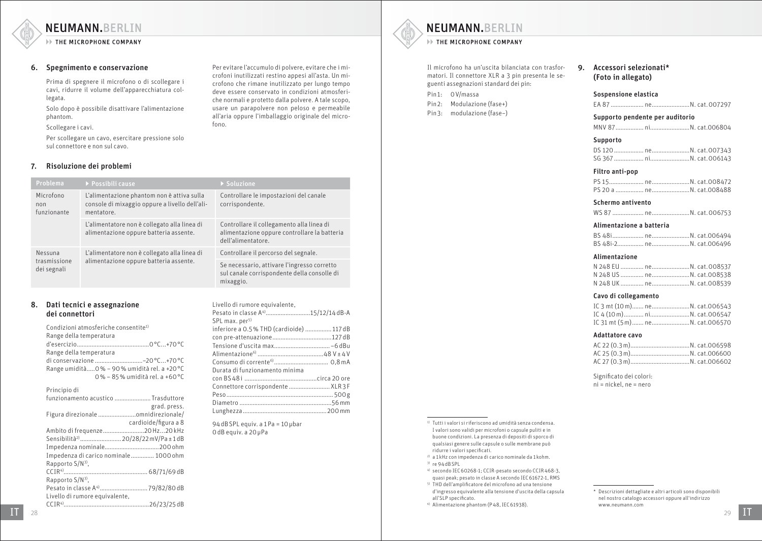**EXECUTE MICROPHONE COMPANY** 

# 6. Spegnimento e conservazione

Prima di spegnere il microfono o di scollegare i cavi, ridurre il volume dell'apparecchiatura collegata.

Solo dopo è possibile disattivare l'alimentazione phantom.

Scollegare i cavi.

Per scollegare un cavo, esercitare pressione solo sul connettore e non sul cavo.

# 7. Risoluzione dei problemi

Problema ▶ Possibili cause 
▶ Soluzione Microfono non funzionante L'alimentazione phantom non è attiva sulla console di mixaggio oppure a livello dell'alimentatore. Controllare le impostazioni del canale corrispondente. L'alimentatore non è collegato alla linea di alimentazione oppure batteria assente. Controllare il collegamento alla linea di alimentazione oppure controllare la batteria dell'alimentatore. Nessuna trasmissione dei segnali L'alimentatore non è collegato alla linea di alimentazione oppure batteria assente. Controllare il percorso del segnale. Se necessario, attivare l'ingresso corretto sul canale corrispondente della consolle di mixaggio.

# 8. Dati tecnici e assegnazione dei connettori

| Condizioni atmosferiche consentite <sup>1)</sup><br>Range della temperatura<br>Range della temperatura<br>di conservazione -20°C+70°C<br>Range umidità 0% - 90% umidità rel. a +20 °C<br>0% - 85% umidità rel. a +60°C |
|------------------------------------------------------------------------------------------------------------------------------------------------------------------------------------------------------------------------|
| Principio di                                                                                                                                                                                                           |
| funzionamento acustico  Trasduttore<br>grad. press.                                                                                                                                                                    |
| Figura direzionale omnidirezionale/<br>cardioide/figura a 8                                                                                                                                                            |
| Ambito di frequenze20 Hz20 kHz                                                                                                                                                                                         |
| Sensibilità <sup>2)</sup> 20/28/22 mV/Pa ± 1dB                                                                                                                                                                         |
| Impedenza nominale200 ohm                                                                                                                                                                                              |
| Impedenza di carico nominale  1000 ohm<br>Rapporto S/N <sup>3)</sup> ,                                                                                                                                                 |
|                                                                                                                                                                                                                        |
| Rapporto S/N <sup>3)</sup> .                                                                                                                                                                                           |
|                                                                                                                                                                                                                        |
| Livello di rumore equivalente,                                                                                                                                                                                         |
|                                                                                                                                                                                                                        |

Per evitare l'accumulo di polvere, evitare che i microfoni inutilizzati restino appesi all'asta. Un microfono che rimane inutilizzato per lungo tempo deve essere conservato in condizioni atmosferiche normali e protetto dalla polvere. A tale scopo, usare un parapolvere non peloso e permeabile all'aria oppure l'imballaggio originale del microfono.

| Livello di rumore equivalente,<br>Pesato in classe A <sup>4)</sup> 15/12/14dB-A |  |
|---------------------------------------------------------------------------------|--|
| SPL max. per <sup>5)</sup>                                                      |  |
| inferiore a 0.5% THD (cardioide)  117 dB                                        |  |
|                                                                                 |  |
|                                                                                 |  |
|                                                                                 |  |
|                                                                                 |  |
| Durata di funzionamento minima                                                  |  |
|                                                                                 |  |
| Connettore corrispondente  XLR3F                                                |  |
|                                                                                 |  |
|                                                                                 |  |
|                                                                                 |  |
|                                                                                 |  |

94dBSPL equiv. a 1Pa = 10 ubar 0dB equiv. a 20µPa

# NEUMANN.BERLIN

**EXAMPLE MICROPHONE COMPANY** 

Il microfono ha un'uscita bilanciata con trasformatori. Il connettore XLR a 3 pin presenta le seguenti assegnazioni standard dei pin:

Pin1: 0V/massa Pin 2: Modulazione (fase+) Pin 3: modulazione (fase–)

# 9. Accessori selezionati\* (Foto in allegato)

#### Sospensione elastica

EA 87 .................... ne.......................N. cat.007297

#### Supporto pendente per auditorio

MNV 87................. ni........................N. cat.006804

#### Supporto

# Filtro anti-pop

#### Schermo antivento

WS 87 ................... ne.......................N. cat.006753

#### Alimentazione a batteria

# Alimentazione

### Cavo di collegamento

| IC 3 mt (10 m) neN. cat.006543  |  |
|---------------------------------|--|
|                                 |  |
| IC 31 mt (5 m)  neN. cat.006570 |  |

# Adattatore cavo

Significato dei colori: ni = nickel, ne = nero

- 1) Tutti i valori si riferiscono ad umidità senza condensa. I valori sono validi per microfoni o capsule puliti e in buone condizioni. La presenza di depositi di sporco di qualsiasi genere sulle capsule o sulle membrane può ridurre i valori specificati.
- 2) a 1 kHz con impedenza di carico nominale da 1 kohm.  $3)$  re 94 dBSPL
- 4) secondo IEC60268-1; CCIR-pesato secondo CCIR468-3, quasi peak; pesato in classe A secondo IEC61672-1, RMS
- 5) THD dell'amplificatore del microfono ad una tensione d'ingresso equivalente alla tensione d'uscita della capsula
- $6)$  Alimentazione phantom (P48, IEC 61938).

#### 28 a vez a vez a vez a vez a vez a vez a vez a vez a vez a vez a vez a vez a vez a vez a vez a vez a vez a vez<br>28 a vez a vez a vez a vez a vez a vez a vez a vez a vez a vez a vez a vez a vez a vez a vez a vez a vez a vez \* Descrizioni dettagliate e altri articoli sono disponibili nel nostro catalogo accessori oppure all'indirizzo www.neumann.com  $\prod_{28}$  29  $\prod$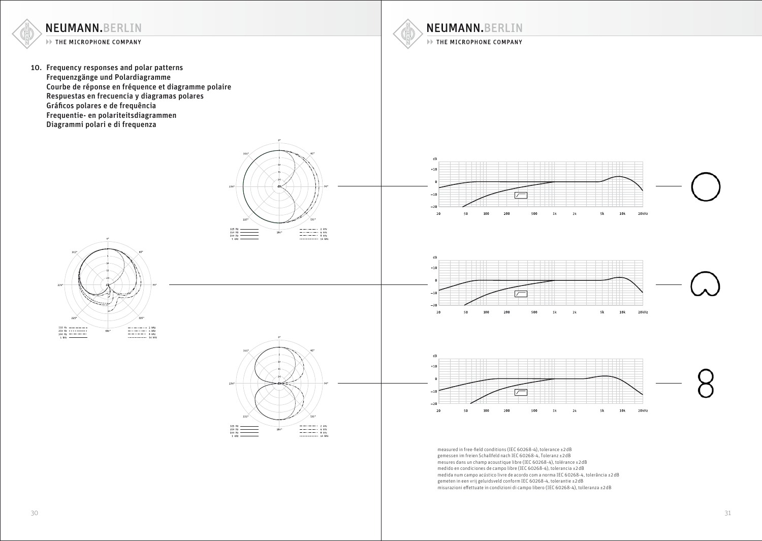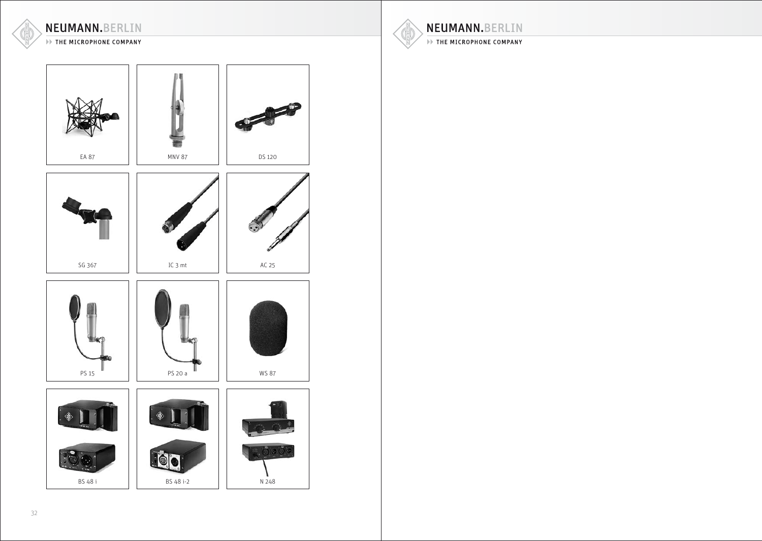

IF THE MICROPHONE COMPANY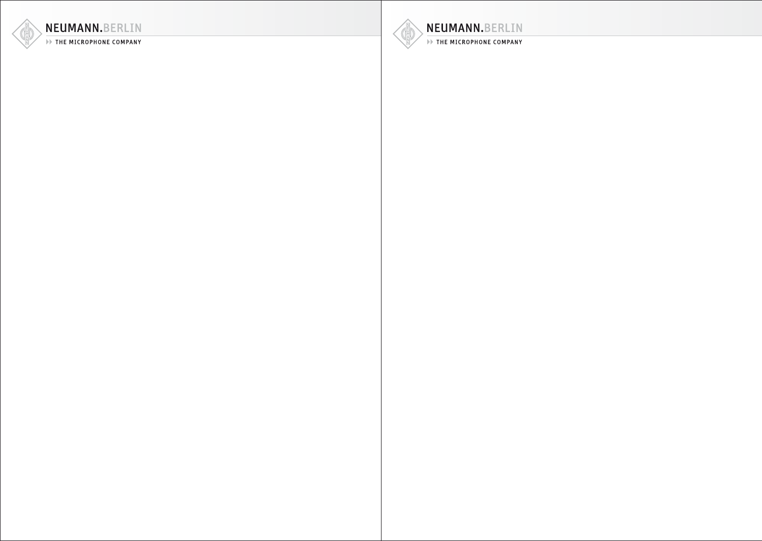

THE MICROPHONE COMPANY



THE MICROPHONE COMPANY